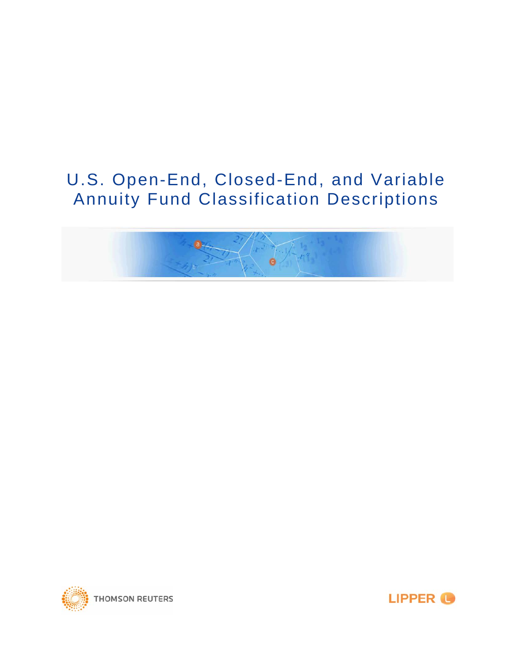# U.S. Open-End, Closed-End, and Variable Annuity Fund Classification Descriptions





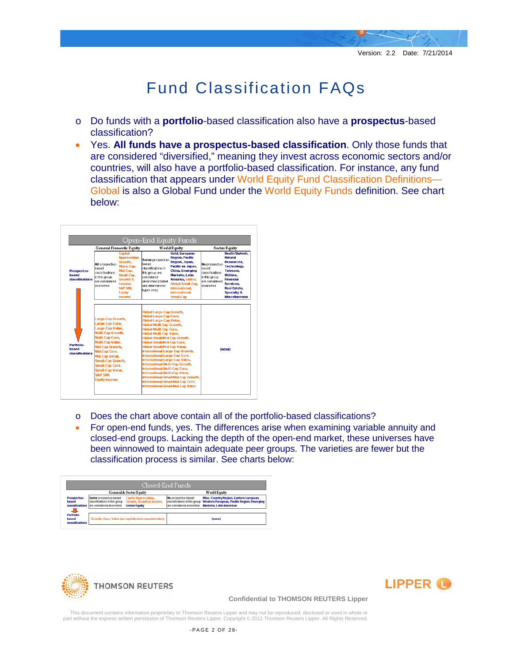# Fund Classification FAQs

- o Do funds with a **portfolio**-based classification also have a **prospectus**-based classification?
- Yes. **All funds have a prospectus-based classification**. Only those funds that are considered "diversified," meaning they invest across economic sectors and/or countries, will also have a portfolio-based classification. For instance, any fund classification that appears under World Equity Fund Classification Definitions— Global is also a Global Fund under the World Equity Funds definition. See chart below:

|                                         |                                                                                                                                                                                                                                                                                       | <b>General Domestic Equity</b>                                                                                                                              | <b>World Equity</b>                                                                                                                                                                                                                                                                                                                                                                                                                                                                                                                                                                                                                                            |                                                                                                                                                                                                                                                  | <b>Sector Equity</b>                                                                         |                                                                                                                                                                                                                  |
|-----------------------------------------|---------------------------------------------------------------------------------------------------------------------------------------------------------------------------------------------------------------------------------------------------------------------------------------|-------------------------------------------------------------------------------------------------------------------------------------------------------------|----------------------------------------------------------------------------------------------------------------------------------------------------------------------------------------------------------------------------------------------------------------------------------------------------------------------------------------------------------------------------------------------------------------------------------------------------------------------------------------------------------------------------------------------------------------------------------------------------------------------------------------------------------------|--------------------------------------------------------------------------------------------------------------------------------------------------------------------------------------------------------------------------------------------------|----------------------------------------------------------------------------------------------|------------------------------------------------------------------------------------------------------------------------------------------------------------------------------------------------------------------|
| Prospectus-<br>hased<br>classifications | All prospectus-<br>hased<br>classifications<br>in this group<br>are considered<br>diversified                                                                                                                                                                                         | Canital<br><b>Appreciation.</b><br>Growth.<br>Micro-Cap.<br>Mid-Cap,<br>Small-Cap.<br>Growth &<br>Income.<br><b>S&amp;P 500.</b><br><b>Equity</b><br>Income | Some prospectus-<br>hased<br>classifications in<br>this group are<br>considered<br>diversified (Global<br>and International<br>types only)                                                                                                                                                                                                                                                                                                                                                                                                                                                                                                                     | <b>Gold, European</b><br><b>Region, Pacific</b><br>Region, Japan,<br>Pacific ex-Japan.<br><b>China, Emerging</b><br>Markets, Latin<br>America, Global,<br><b>Global Small-Cap.</b><br>International.<br><b>International</b><br><b>Small-Cap</b> | No prospectus-<br>hased<br>classifications<br>in this group<br>are considered<br>diversified | <b>Health/Biotech.</b><br><b>Natural</b><br><b>Resources.</b><br>Technology.<br>Telecom.<br>Utilities.<br><b>Financial</b><br>Services.<br><b>Real Estate.</b><br><b>Specialty &amp;</b><br><b>Miscellaneous</b> |
| Portfolio-<br>hased<br>classifications  | Large-Cap Growth,<br>Large-Cap Core,<br>Large-Cap Value.<br>Multi-Cap Growth.<br>Multi-Cap Core.<br>Multi-Cap Value,<br>Mid-Cap Growth.<br>Mid-Cap Core,<br>Mid-Can Value.<br>Small-Cap Growth.<br>Small-Cap Core.<br>Small-Cap Value.<br><b>S&amp;P 500.</b><br><b>Equity Income</b> |                                                                                                                                                             | <b>Global Large-Cap Growth.</b><br><b>Global Large-Cap Core,</b><br><b>Global Large-Cap Value.</b><br><b>Global Multi-Cap Growth.</b><br><b>Global Multi-Cap Core.</b><br><b>Global Multi-Cap Value.</b><br><b>Global Small/Mid-Cap Growth,</b><br><b>Global Small/Mid-Cap Core.</b><br><b>Global Small/Mid-Cap Value.</b><br>International Large-Cap Growth.<br><b>International Large-Cap Core,</b><br>International Large-Cap Value,<br>International Multi-Cap Growth,<br>International Multi-Cap Core,<br>International Multi-Cap Value,<br>International Small/Mid-Cap Growth,<br>International Small/Mid-Cap Core,<br>International Small/Mid-Cap Value |                                                                                                                                                                                                                                                  | (none)                                                                                       |                                                                                                                                                                                                                  |

- o Does the chart above contain all of the portfolio-based classifications?
- For open-end funds, yes. The differences arise when examining variable annuity and closed-end groups. Lacking the depth of the open-end market, these universes have been winnowed to maintain adequate peer groups. The varieties are fewer but the classification process is similar. See charts below:

| Closed-End Funds                            |                                                                                                      |                                                                                  |                                                                                    |                                                                                                                  |  |  |
|---------------------------------------------|------------------------------------------------------------------------------------------------------|----------------------------------------------------------------------------------|------------------------------------------------------------------------------------|------------------------------------------------------------------------------------------------------------------|--|--|
| <b>General &amp; Sector Equity</b>          |                                                                                                      |                                                                                  | <b>World Equity</b>                                                                |                                                                                                                  |  |  |
| Prospectus-<br>hased                        | Some prospectus-based<br>classifications in this group<br>classifications are considered diversified | <b>Capital Appreciation,</b><br>Growth, Growth & Income,<br><b>Sector Faulty</b> | No prospectus-based<br>classifications in this group<br>are considered diversified | Misc. Country/Region, Eastern European,<br>Western European, Pacific Region, Emerging<br>Markets, Latin American |  |  |
| ᅰ<br>Portfolio-<br>based<br>classifications | Growth, Core, Value (no capitalization consideration)                                                |                                                                                  | (none)                                                                             |                                                                                                                  |  |  |





#### **Confidential to THOMSON REUTERS Lipper**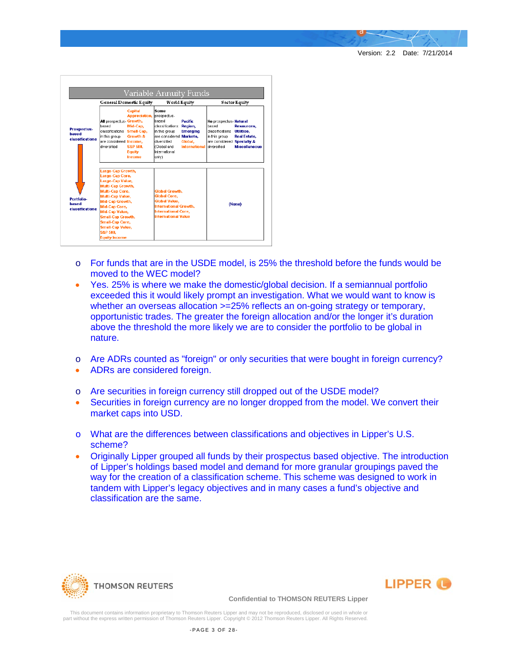Version: 2.2 Date: 7/21/2014

|                                                | <b>General Domestic Equity</b>                                                                                                                                                                                                                                                                                       |                                                                                                                     | World Equity                                                                                                                                              |                                                                                             | <b>Sector Equity</b>                                                                              |                                                                         |
|------------------------------------------------|----------------------------------------------------------------------------------------------------------------------------------------------------------------------------------------------------------------------------------------------------------------------------------------------------------------------|---------------------------------------------------------------------------------------------------------------------|-----------------------------------------------------------------------------------------------------------------------------------------------------------|---------------------------------------------------------------------------------------------|---------------------------------------------------------------------------------------------------|-------------------------------------------------------------------------|
| <b>Prospectus-</b><br>hased<br>classifications | All prospectus-Growth,<br>based<br>classifications<br>in this group<br>are considered Income,<br>diversified                                                                                                                                                                                                         | <b>Capital</b><br><b>Appreciation,</b><br>Mid-Cap.<br>Small-Cap,<br>Growth &<br>S&P 500.<br><b>Eauity</b><br>Income | Some<br>prospectus-<br>hased<br>classifications<br>in this group<br>are considered Markets.<br>diversified<br>(Global and<br>International<br>onlv)       | <b>Pacific</b><br>Region.<br><b>Emerging</b><br>Global.<br><b>International diversified</b> | No prospectus- Natural<br>based<br>classifications<br>in this group<br>are considered Specialty & | Resources.<br>Utilities,<br><b>Real Estate.</b><br><b>Miscellaneous</b> |
| Portfolio-<br>hased<br>classifications         | Large-Cap Growth,<br>Large-Cap Core,<br>Large-Cap Value,<br>Multi-Cap Growth,<br><b>Multi-Cap Core,</b><br><b>Multi-Cap Value.</b><br>Mid-Cap Growth,<br><b>Mid-Cap Core,</b><br>Mid-Cap Value.<br><b>Small-Cap Growth,</b><br><b>Small-Cap Core.</b><br><b>Small-Cap Value.</b><br>S&P 500.<br><b>Equity Income</b> |                                                                                                                     | <b>Global Growth.</b><br><b>Global Core.</b><br><b>Global Value,</b><br>International Growth,<br><b>International Core.</b><br><b>International Value</b> |                                                                                             | (None)                                                                                            |                                                                         |

- o For funds that are in the USDE model, is 25% the threshold before the funds would be moved to the WEC model?
- Yes. 25% is where we make the domestic/global decision. If a semiannual portfolio exceeded this it would likely prompt an investigation. What we would want to know is whether an overseas allocation >=25% reflects an on-going strategy or temporary, opportunistic trades. The greater the foreign allocation and/or the longer it's duration above the threshold the more likely we are to consider the portfolio to be global in nature.
- o Are ADRs counted as "foreign" or only securities that were bought in foreign currency?
- ADRs are considered foreign.
- o Are securities in foreign currency still dropped out of the USDE model?
- Securities in foreign currency are no longer dropped from the model. We convert their market caps into USD.
- o What are the differences between classifications and objectives in Lipper's U.S. scheme?
- Originally Lipper grouped all funds by their prospectus based objective. The introduction of Lipper's holdings based model and demand for more granular groupings paved the way for the creation of a classification scheme. This scheme was designed to work in tandem with Lipper's legacy objectives and in many cases a fund's objective and classification are the same.





**Confidential to THOMSON REUTERS Lipper**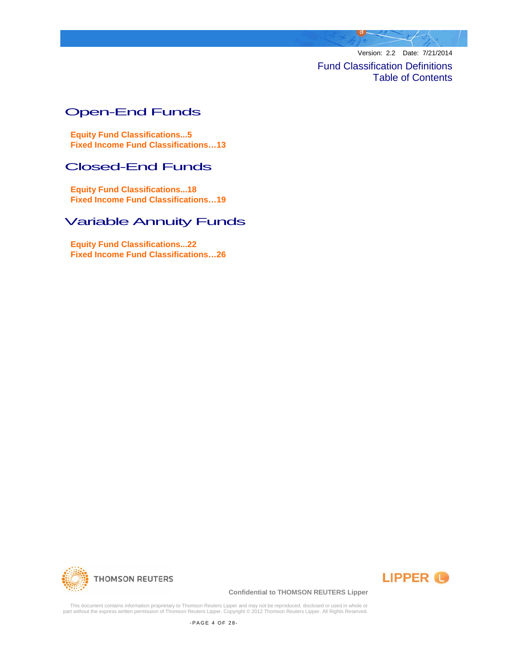Version: 2.2 Date: 7/21/2014

Fund Classification Definitions Table of Contents

# [Open-End Funds](#page-27-0)

**[Equity Fund Classifications...5](#page-27-0) [Fixed Income Fund Classifications…1](#page-27-0)3**

# [Closed-End Funds](#page-27-0)

**[Equity Fund Classifications...18](#page-27-0) [Fixed Income Fund Classifications…19](#page-27-0)**

# [Variable Annuity Funds](#page-27-0)

**[Equity Fund Classifications...2](#page-27-0)2 [Fixed Income Fund Classifications…2](#page-27-0)6**





#### **Confidential to THOMSON REUTERS Lipper**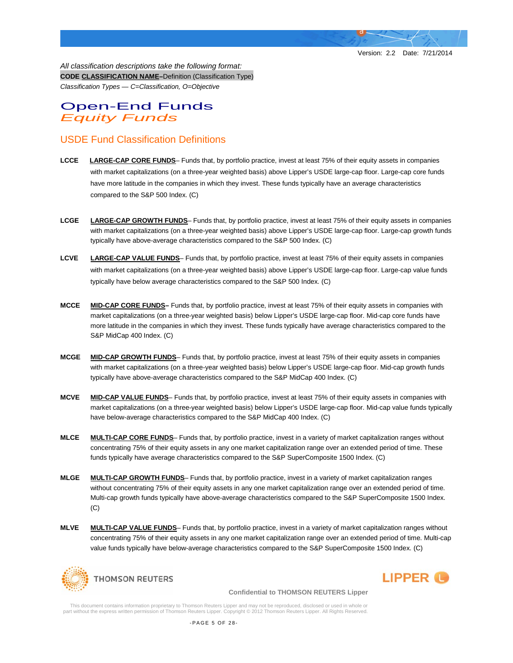LIPPER <sup>(1)</sup>

*All classification descriptions take the following format:* **CODE CLASSIFICATION NAME–**Definition (Classification Type) *Classification Types — C=Classification, O=Objective* 

# Open-End Funds *Equity Funds*

# USDE Fund Classification Definitions

- **LCCE LARGE-CAP CORE FUNDS** Funds that, by portfolio practice, invest at least 75% of their equity assets in companies with market capitalizations (on a three-year weighted basis) above Lipper's USDE large-cap floor. Large-cap core funds have more latitude in the companies in which they invest. These funds typically have an average characteristics compared to the S&P 500 Index. (C)
- **LCGE LARGE-CAP GROWTH FUNDS** Funds that, by portfolio practice, invest at least 75% of their equity assets in companies with market capitalizations (on a three-year weighted basis) above Lipper's USDE large-cap floor. Large-cap growth funds typically have above-average characteristics compared to the S&P 500 Index. (C)
- **LCVE LARGE-CAP VALUE FUNDS** Funds that, by portfolio practice, invest at least 75% of their equity assets in companies with market capitalizations (on a three-year weighted basis) above Lipper's USDE large-cap floor. Large-cap value funds typically have below average characteristics compared to the S&P 500 Index. (C)
- **MCCE MID-CAP CORE FUNDS–** Funds that, by portfolio practice, invest at least 75% of their equity assets in companies with market capitalizations (on a three-year weighted basis) below Lipper's USDE large-cap floor. Mid-cap core funds have more latitude in the companies in which they invest. These funds typically have average characteristics compared to the S&P MidCap 400 Index. (C)
- **MCGE MID-CAP GROWTH FUNDS** Funds that, by portfolio practice, invest at least 75% of their equity assets in companies with market capitalizations (on a three-year weighted basis) below Lipper's USDE large-cap floor. Mid-cap growth funds typically have above-average characteristics compared to the S&P MidCap 400 Index. (C)
- **MCVE MID-CAP VALUE FUNDS** Funds that, by portfolio practice, invest at least 75% of their equity assets in companies with market capitalizations (on a three-year weighted basis) below Lipper's USDE large-cap floor. Mid-cap value funds typically have below-average characteristics compared to the S&P MidCap 400 Index. (C)
- **MLCE MULTI-CAP CORE FUNDS** Funds that, by portfolio practice, invest in a variety of market capitalization ranges without concentrating 75% of their equity assets in any one market capitalization range over an extended period of time. These funds typically have average characteristics compared to the S&P SuperComposite 1500 Index. (C)
- **MLGE MULTI-CAP GROWTH FUNDS** Funds that, by portfolio practice, invest in a variety of market capitalization ranges without concentrating 75% of their equity assets in any one market capitalization range over an extended period of time. Multi-cap growth funds typically have above-average characteristics compared to the S&P SuperComposite 1500 Index. (C)
- **MLVE MULTI-CAP VALUE FUNDS** Funds that, by portfolio practice, invest in a variety of market capitalization ranges without concentrating 75% of their equity assets in any one market capitalization range over an extended period of time. Multi-cap value funds typically have below-average characteristics compared to the S&P SuperComposite 1500 Index. (C)



**Confidential to THOMSON REUTERS Lipper**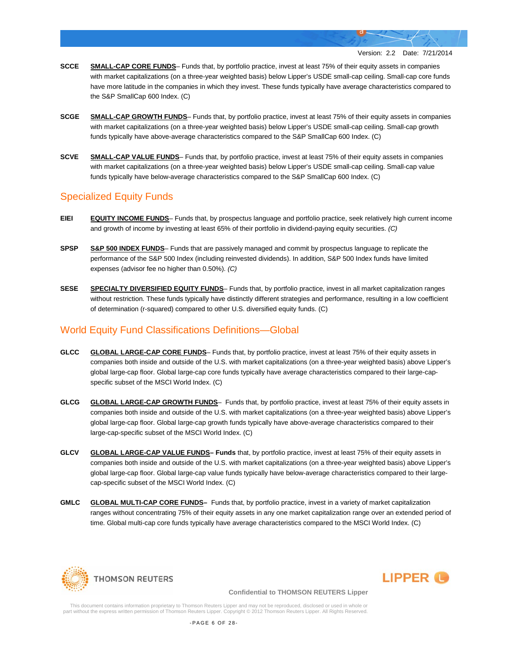- **SCCE SMALL-CAP CORE FUNDS** Funds that, by portfolio practice, invest at least 75% of their equity assets in companies with market capitalizations (on a three-year weighted basis) below Lipper's USDE small-cap ceiling. Small-cap core funds have more latitude in the companies in which they invest. These funds typically have average characteristics compared to the S&P SmallCap 600 Index. (C)
- **SCGE SMALL-CAP GROWTH FUNDS** Funds that, by portfolio practice, invest at least 75% of their equity assets in companies with market capitalizations (on a three-year weighted basis) below Lipper's USDE small-cap ceiling. Small-cap growth funds typically have above-average characteristics compared to the S&P SmallCap 600 Index. (C)
- **SCVE SMALL-CAP VALUE FUNDS** Funds that, by portfolio practice, invest at least 75% of their equity assets in companies with market capitalizations (on a three-year weighted basis) below Lipper's USDE small-cap ceiling. Small-cap value funds typically have below-average characteristics compared to the S&P SmallCap 600 Index. (C)

# Specialized Equity Funds

- **EIEI EQUITY INCOME FUNDS** Funds that, by prospectus language and portfolio practice, seek relatively high current income and growth of income by investing at least 65% of their portfolio in dividend-paying equity securities. *(C)*
- **SPSP S&P 500 INDEX FUNDS** Funds that are passively managed and commit by prospectus language to replicate the performance of the S&P 500 Index (including reinvested dividends). In addition, S&P 500 Index funds have limited expenses (advisor fee no higher than 0.50%). *(C)*
- **SESE SPECIALTY DIVERSIFIED EQUITY FUNDS** Funds that, by portfolio practice, invest in all market capitalization ranges without restriction. These funds typically have distinctly different strategies and performance, resulting in a low coefficient of determination (r-squared) compared to other U.S. diversified equity funds. (C)

# World Equity Fund Classifications Definitions—Global

- **GLCC GLOBAL LARGE-CAP CORE FUNDS** Funds that, by portfolio practice, invest at least 75% of their equity assets in companies both inside and outside of the U.S. with market capitalizations (on a three-year weighted basis) above Lipper's global large-cap floor. Global large-cap core funds typically have average characteristics compared to their large-capspecific subset of the MSCI World Index. (C)
- **GLCG GLOBAL LARGE-CAP GROWTH FUNDS** Funds that, by portfolio practice, invest at least 75% of their equity assets in companies both inside and outside of the U.S. with market capitalizations (on a three-year weighted basis) above Lipper's global large-cap floor. Global large-cap growth funds typically have above-average characteristics compared to their large-cap-specific subset of the MSCI World Index. (C)
- **GLCV GLOBAL LARGE-CAP VALUE FUNDS– Funds** that, by portfolio practice, invest at least 75% of their equity assets in companies both inside and outside of the U.S. with market capitalizations (on a three-year weighted basis) above Lipper's global large-cap floor. Global large-cap value funds typically have below-average characteristics compared to their largecap-specific subset of the MSCI World Index. (C)
- **GMLC GLOBAL MULTI-CAP CORE FUNDS–** Funds that, by portfolio practice, invest in a variety of market capitalization ranges without concentrating 75% of their equity assets in any one market capitalization range over an extended period of time. Global multi-cap core funds typically have average characteristics compared to the MSCI World Index. (C)





#### **Confidential to THOMSON REUTERS Lipper**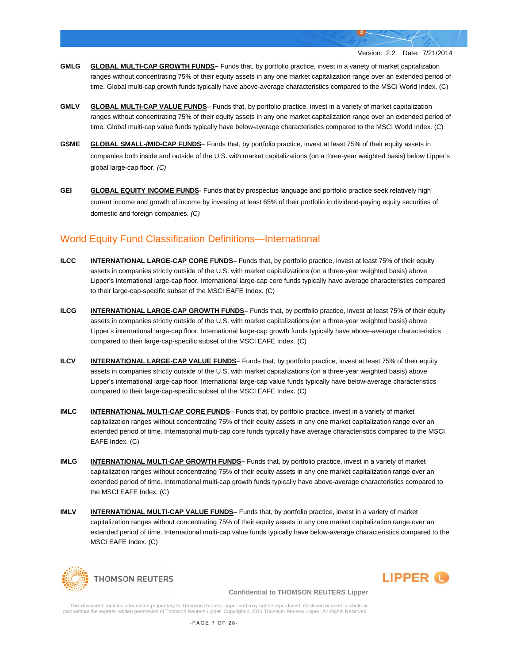- **GMLG GLOBAL MULTI-CAP GROWTH FUNDS–** Funds that, by portfolio practice, invest in a variety of market capitalization ranges without concentrating 75% of their equity assets in any one market capitalization range over an extended period of time. Global multi-cap growth funds typically have above-average characteristics compared to the MSCI World Index. (C)
- **GMLV GLOBAL MULTI-CAP VALUE FUNDS** Funds that, by portfolio practice, invest in a variety of market capitalization ranges without concentrating 75% of their equity assets in any one market capitalization range over an extended period of time. Global multi-cap value funds typically have below-average characteristics compared to the MSCI World Index. (C)
- **GSME GLOBAL SMALL-/MID-CAP FUNDS** Funds that, by portfolio practice, invest at least 75% of their equity assets in companies both inside and outside of the U.S. with market capitalizations (on a three-year weighted basis) below Lipper's global large-cap floor. *(C)*
- **GEI GLOBAL EQUITY INCOME FUNDS-** Funds that by prospectus language and portfolio practice seek relatively high current income and growth of income by investing at least 65% of their portfolio in dividend-paying equity securities of domestic and foreign companies. *(C)*

# World Equity Fund Classification Definitions—International

- **ILCC INTERNATIONAL LARGE-CAP CORE FUNDS–** Funds that, by portfolio practice, invest at least 75% of their equity assets in companies strictly outside of the U.S. with market capitalizations (on a three-year weighted basis) above Lipper's international large-cap floor. International large-cap core funds typically have average characteristics compared to their large-cap-specific subset of the MSCI EAFE Index. (C)
- **ILCG INTERNATIONAL LARGE-CAP GROWTH FUNDS–** Funds that, by portfolio practice, invest at least 75% of their equity assets in companies strictly outside of the U.S. with market capitalizations (on a three-year weighted basis) above Lipper's international large-cap floor. International large-cap growth funds typically have above-average characteristics compared to their large-cap-specific subset of the MSCI EAFE Index. (C)
- **ILCV INTERNATIONAL LARGE-CAP VALUE FUNDS** Funds that, by portfolio practice, invest at least 75% of their equity assets in companies strictly outside of the U.S. with market capitalizations (on a three-year weighted basis) above Lipper's international large-cap floor. International large-cap value funds typically have below-average characteristics compared to their large-cap-specific subset of the MSCI EAFE Index. (C)
- **IMLC INTERNATIONAL MULTI-CAP CORE FUNDS** Funds that, by portfolio practice, invest in a variety of market capitalization ranges without concentrating 75% of their equity assets in any one market capitalization range over an extended period of time. International multi-cap core funds typically have average characteristics compared to the MSCI EAFE Index. (C)
- **IMLG INTERNATIONAL MULTI-CAP GROWTH FUNDS–** Funds that, by portfolio practice, invest in a variety of market capitalization ranges without concentrating 75% of their equity assets in any one market capitalization range over an extended period of time. International multi-cap growth funds typically have above-average characteristics compared to the MSCI EAFE Index. (C)
- **IMLV INTERNATIONAL MULTI-CAP VALUE FUNDS** Funds that, by portfolio practice, invest in a variety of market capitalization ranges without concentrating 75% of their equity assets in any one market capitalization range over an extended period of time. International multi-cap value funds typically have below-average characteristics compared to the MSCI EAFE Index. (C)





#### **Confidential to THOMSON REUTERS Lipper**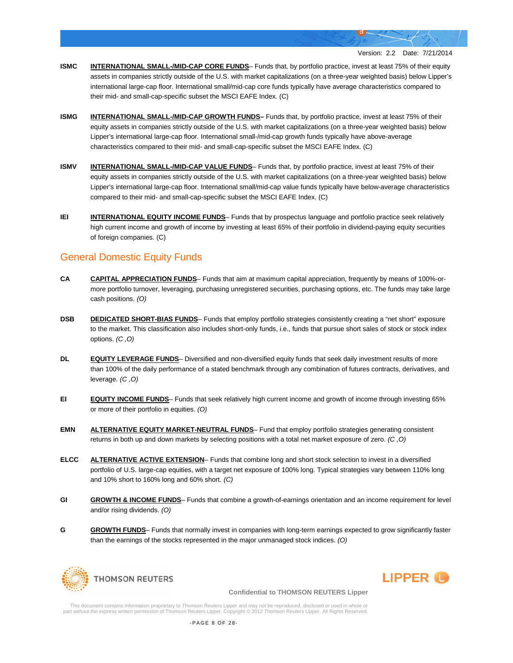- **ISMC INTERNATIONAL SMALL-/MID-CAP CORE FUNDS** Funds that, by portfolio practice, invest at least 75% of their equity assets in companies strictly outside of the U.S. with market capitalizations (on a three-year weighted basis) below Lipper's international large-cap floor. International small/mid-cap core funds typically have average characteristics compared to their mid- and small-cap-specific subset the MSCI EAFE Index. (C)
- **ISMG INTERNATIONAL SMALL-/MID-CAP GROWTH FUNDS–** Funds that, by portfolio practice, invest at least 75% of their equity assets in companies strictly outside of the U.S. with market capitalizations (on a three-year weighted basis) below Lipper's international large-cap floor. International small-/mid-cap growth funds typically have above-average characteristics compared to their mid- and small-cap-specific subset the MSCI EAFE Index. (C)
- **ISMV INTERNATIONAL SMALL-/MID-CAP VALUE FUNDS** Funds that, by portfolio practice, invest at least 75% of their equity assets in companies strictly outside of the U.S. with market capitalizations (on a three-year weighted basis) below Lipper's international large-cap floor. International small/mid-cap value funds typically have below-average characteristics compared to their mid- and small-cap-specific subset the MSCI EAFE Index. (C)
- **IEI INTERNATIONAL EQUITY INCOME FUNDS** Funds that by prospectus language and portfolio practice seek relatively high current income and growth of income by investing at least 65% of their portfolio in dividend-paying equity securities of foreign companies. (C)

# General Domestic Equity Funds

- **CA CAPITAL APPRECIATION FUNDS** Funds that aim at maximum capital appreciation, frequently by means of 100%-ormore portfolio turnover, leveraging, purchasing unregistered securities, purchasing options, etc. The funds may take large cash positions. *(O)*
- **DSB DEDICATED SHORT-BIAS FUNDS** Funds that employ portfolio strategies consistently creating a "net short" exposure to the market. This classification also includes short-only funds, i.e., funds that pursue short sales of stock or stock index options. *(C ,O)*
- **DL <b>EQUITY LEVERAGE FUNDS** Diversified and non-diversified equity funds that seek daily investment results of more than 100% of the daily performance of a stated benchmark through any combination of futures contracts, derivatives, and leverage. *(C ,O)*
- **EI EQUITY INCOME FUNDS** Funds that seek relatively high current income and growth of income through investing 65% or more of their portfolio in equities. *(O)*
- **EMN ALTERNATIVE EQUITY MARKET-NEUTRAL FUNDS** Fund that employ portfolio strategies generating consistent returns in both up and down markets by selecting positions with a total net market exposure of zero. *(C ,O)*
- **ELCC ALTERNATIVE ACTIVE EXTENSION** Funds that combine long and short stock selection to invest in a diversified portfolio of U.S. large-cap equities, with a target net exposure of 100% long. Typical strategies vary between 110% long and 10% short to 160% long and 60% short. *(C)*
- **GI GROWTH & INCOME FUNDS** Funds that combine a growth-of-earnings orientation and an income requirement for level and/or rising dividends. *(O)*
- **G GROWTH FUNDS** Funds that normally invest in companies with long-term earnings expected to grow significantly faster than the earnings of the stocks represented in the major unmanaged stock indices. *(O)*





#### **Confidential to THOMSON REUTERS Lipper**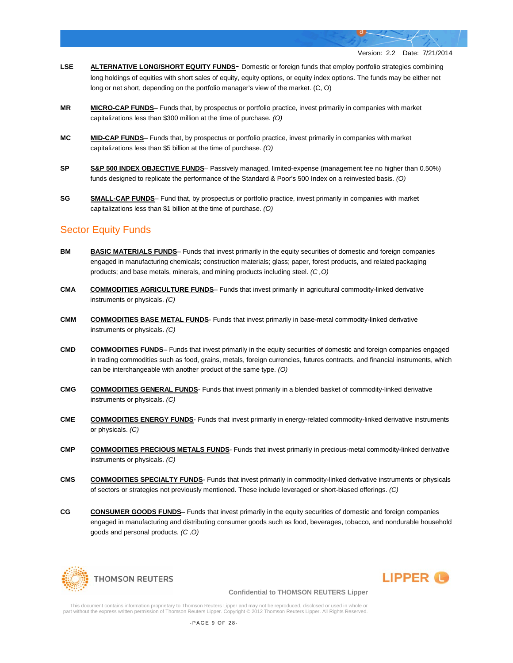- **LSE ALTERNATIVE LONG/SHORT EQUITY FUNDS** Domestic or foreign funds that employ portfolio strategies combining long holdings of equities with short sales of equity, equity options, or equity index options. The funds may be either net long or net short, depending on the portfolio manager's view of the market. (C, O)
- **MR MICRO-CAP FUNDS** Funds that, by prospectus or portfolio practice, invest primarily in companies with market capitalizations less than \$300 million at the time of purchase. *(O)*
- **MC MID-CAP FUNDS** Funds that, by prospectus or portfolio practice, invest primarily in companies with market capitalizations less than \$5 billion at the time of purchase. *(O)*
- **SP S&P 500 INDEX OBJECTIVE FUNDS** Passively managed, limited-expense (management fee no higher than 0.50%) funds designed to replicate the performance of the Standard & Poor's 500 Index on a reinvested basis. *(O)*
- **SG SMALL-CAP FUNDS** Fund that, by prospectus or portfolio practice, invest primarily in companies with market capitalizations less than \$1 billion at the time of purchase. *(O)*

### Sector Equity Funds

- **BM BASIC MATERIALS FUNDS** Funds that invest primarily in the equity securities of domestic and foreign companies engaged in manufacturing chemicals; construction materials; glass; paper, forest products, and related packaging products; and base metals, minerals, and mining products including steel. *(C ,O)*
- **CMA COMMODITIES AGRICULTURE FUNDS** Funds that invest primarily in agricultural commodity-linked derivative instruments or physicals. *(C)*
- **CMM COMMODITIES BASE METAL FUNDS** Funds that invest primarily in base-metal commodity-linked derivative instruments or physicals. *(C)*
- **CMD COMMODITIES FUNDS** Funds that invest primarily in the equity securities of domestic and foreign companies engaged in trading commodities such as food, grains, metals, foreign currencies, futures contracts, and financial instruments, which can be interchangeable with another product of the same type. *(O)*
- **CMG COMMODITIES GENERAL FUNDS** Funds that invest primarily in a blended basket of commodity-linked derivative instruments or physicals. *(C)*
- **CME COMMODITIES ENERGY FUNDS** Funds that invest primarily in energy-related commodity-linked derivative instruments or physicals. *(C)*
- **CMP COMMODITIES PRECIOUS METALS FUNDS** Funds that invest primarily in precious-metal commodity-linked derivative instruments or physicals. *(C)*
- **CMS COMMODITIES SPECIALTY FUNDS** Funds that invest primarily in commodity-linked derivative instruments or physicals of sectors or strategies not previously mentioned. These include leveraged or short-biased offerings. *(C)*
- **CG CONSUMER GOODS FUNDS** Funds that invest primarily in the equity securities of domestic and foreign companies engaged in manufacturing and distributing consumer goods such as food, beverages, tobacco, and nondurable household goods and personal products. *(C ,O)*





#### **Confidential to THOMSON REUTERS Lipper**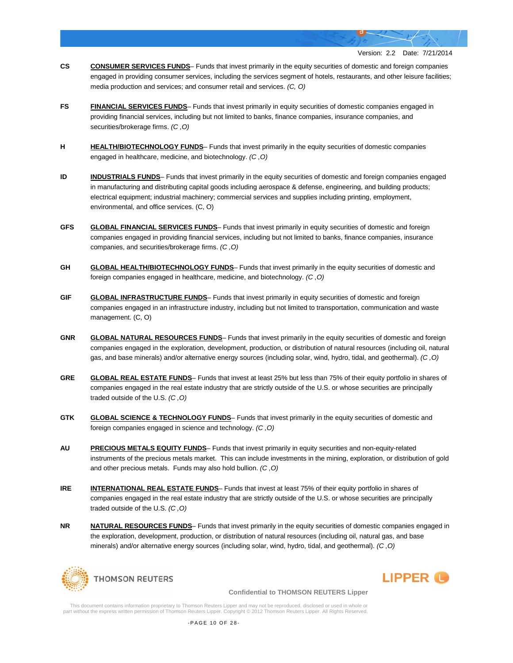- **CS CONSUMER SERVICES FUNDS** Funds that invest primarily in the equity securities of domestic and foreign companies engaged in providing consumer services, including the services segment of hotels, restaurants, and other leisure facilities; media production and services; and consumer retail and services. *(C, O)*
- **FS FINANCIAL SERVICES FUNDS** Funds that invest primarily in equity securities of domestic companies engaged in providing financial services, including but not limited to banks, finance companies, insurance companies, and securities/brokerage firms. *(C ,O)*
- **H HEALTH/BIOTECHNOLOGY FUNDS** Funds that invest primarily in the equity securities of domestic companies engaged in healthcare, medicine, and biotechnology. *(C ,O)*
- **ID INDUSTRIALS FUNDS** Funds that invest primarily in the equity securities of domestic and foreign companies engaged in manufacturing and distributing capital goods including aerospace & defense, engineering, and building products; electrical equipment; industrial machinery; commercial services and supplies including printing, employment, environmental, and office services. (C, O)
- **GFS GLOBAL FINANCIAL SERVICES FUNDS** Funds that invest primarily in equity securities of domestic and foreign companies engaged in providing financial services, including but not limited to banks, finance companies, insurance companies, and securities/brokerage firms. *(C ,O)*
- **GH GLOBAL HEALTH/BIOTECHNOLOGY FUNDS** Funds that invest primarily in the equity securities of domestic and foreign companies engaged in healthcare, medicine, and biotechnology. *(C ,O)*
- **GIF GLOBAL INFRASTRUCTURE FUNDS** Funds that invest primarily in equity securities of domestic and foreign companies engaged in an infrastructure industry, including but not limited to transportation, communication and waste management. (C, O)
- **GNR GLOBAL NATURAL RESOURCES FUNDS** Funds that invest primarily in the equity securities of domestic and foreign companies engaged in the exploration, development, production, or distribution of natural resources (including oil, natural gas, and base minerals) and/or alternative energy sources (including solar, wind, hydro, tidal, and geothermal). *(C ,O)*
- **GRE GLOBAL REAL ESTATE FUNDS** Funds that invest at least 25% but less than 75% of their equity portfolio in shares of companies engaged in the real estate industry that are strictly outside of the U.S. or whose securities are principally traded outside of the U.S. *(C ,O)*
- **GTK GLOBAL SCIENCE & TECHNOLOGY FUNDS** Funds that invest primarily in the equity securities of domestic and foreign companies engaged in science and technology. *(C ,O)*
- **AU PRECIOUS METALS EQUITY FUNDS** Funds that invest primarily in equity securities and non-equity-related instruments of the precious metals market. This can include investments in the mining, exploration, or distribution of gold and other precious metals. Funds may also hold bullion. *(C ,O)*
- **IRE INTERNATIONAL REAL ESTATE FUNDS** Funds that invest at least 75% of their equity portfolio in shares of companies engaged in the real estate industry that are strictly outside of the U.S. or whose securities are principally traded outside of the U.S. *(C ,O)*
- **NR NATURAL RESOURCES FUNDS** Funds that invest primarily in the equity securities of domestic companies engaged in the exploration, development, production, or distribution of natural resources (including oil, natural gas, and base minerals) and/or alternative energy sources (including solar, wind, hydro, tidal, and geothermal). *(C ,O)*



#### **Confidential to THOMSON REUTERS Lipper**

**LIPPER**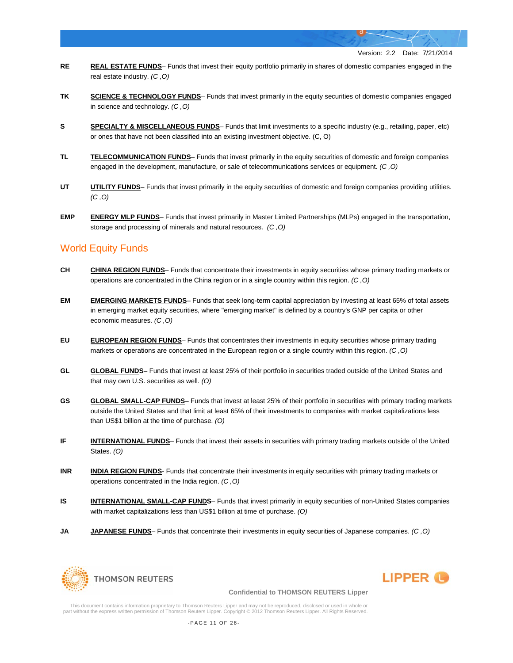- **RE REAL ESTATE FUNDS** Funds that invest their equity portfolio primarily in shares of domestic companies engaged in the real estate industry. *(C ,O)*
- **TK SCIENCE & TECHNOLOGY FUNDS** Funds that invest primarily in the equity securities of domestic companies engaged in science and technology. *(C ,O)*
- **S SPECIALTY & MISCELLANEOUS FUNDS** Funds that limit investments to a specific industry (e.g., retailing, paper, etc) or ones that have not been classified into an existing investment objective. (C, O)
- **TL TELECOMMUNICATION FUNDS** Funds that invest primarily in the equity securities of domestic and foreign companies engaged in the development, manufacture, or sale of telecommunications services or equipment. *(C ,O)*
- **UT UTILITY FUNDS** Funds that invest primarily in the equity securities of domestic and foreign companies providing utilities. *(C ,O)*
- **EMP ENERGY MLP FUNDS** Funds that invest primarily in Master Limited Partnerships (MLPs) engaged in the transportation, storage and processing of minerals and natural resources. *(C ,O)*

# World Equity Funds

- **CH CHINA REGION FUNDS** Funds that concentrate their investments in equity securities whose primary trading markets or operations are concentrated in the China region or in a single country within this region. *(C ,O)*
- **EM EMERGING MARKETS FUNDS** Funds that seek long-term capital appreciation by investing at least 65% of total assets in emerging market equity securities, where "emerging market" is defined by a country's GNP per capita or other economic measures. *(C ,O)*
- **EU EUROPEAN REGION FUNDS** Funds that concentrates their investments in equity securities whose primary trading markets or operations are concentrated in the European region or a single country within this region. *(C ,O)*
- **GL GLOBAL FUNDS** Funds that invest at least 25% of their portfolio in securities traded outside of the United States and that may own U.S. securities as well. *(O)*
- GS **GLOBAL SMALL-CAP FUNDS** Funds that invest at least 25% of their portfolio in securities with primary trading markets outside the United States and that limit at least 65% of their investments to companies with market capitalizations less than US\$1 billion at the time of purchase. *(O)*
- **IF INTERNATIONAL FUNDS** Funds that invest their assets in securities with primary trading markets outside of the United States. *(O)*
- **INR <b>INDIA REGION FUNDS** Funds that concentrate their investments in equity securities with primary trading markets or operations concentrated in the India region. *(C ,O)*
- **IS INTERNATIONAL SMALL-CAP FUNDS** Funds that invest primarily in equity securities of non-United States companies with market capitalizations less than US\$1 billion at time of purchase. *(O)*
- **JA JAPANESE FUNDS** Funds that concentrate their investments in equity securities of Japanese companies. *(C ,O)*





#### **Confidential to THOMSON REUTERS Lipper**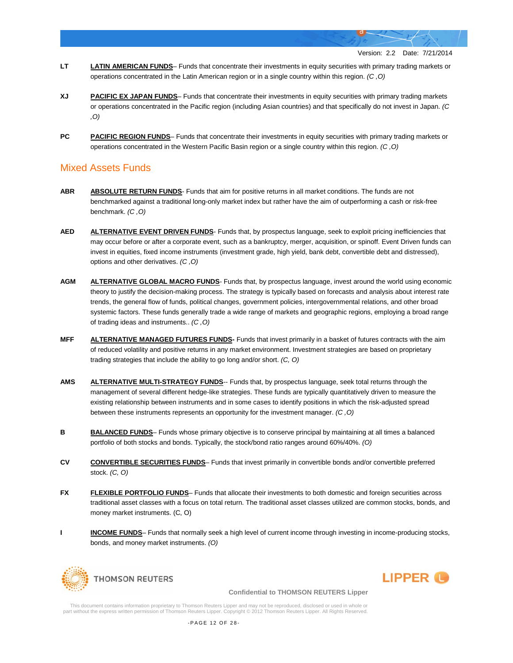- **LT LATIN AMERICAN FUNDS** Funds that concentrate their investments in equity securities with primary trading markets or operations concentrated in the Latin American region or in a single country within this region. *(C ,O)*
- **XJ PACIFIC EX JAPAN FUNDS** Funds that concentrate their investments in equity securities with primary trading markets or operations concentrated in the Pacific region (including Asian countries) and that specifically do not invest in Japan. *(C ,O)*
- **PC PACIFIC REGION FUNDS** Funds that concentrate their investments in equity securities with primary trading markets or operations concentrated in the Western Pacific Basin region or a single country within this region. *(C ,O)*

## Mixed Assets Funds

- **ABR ABSOLUTE RETURN FUNDS** Funds that aim for positive returns in all market conditions. The funds are not benchmarked against a traditional long-only market index but rather have the aim of outperforming a cash or risk-free benchmark. *(C ,O)*
- **AED ALTERNATIVE EVENT DRIVEN FUNDS** Funds that, by prospectus language, seek to exploit pricing inefficiencies that may occur before or after a corporate event, such as a bankruptcy, merger, acquisition, or spinoff. Event Driven funds can invest in equities, fixed income instruments (investment grade, high yield, bank debt, convertible debt and distressed), options and other derivatives. *(C ,O)*
- **AGM ALTERNATIVE GLOBAL MACRO FUNDS** Funds that, by prospectus language, invest around the world using economic theory to justify the decision-making process. The strategy is typically based on forecasts and analysis about interest rate trends, the general flow of funds, political changes, government policies, intergovernmental relations, and other broad systemic factors. These funds generally trade a wide range of markets and geographic regions, employing a broad range of trading ideas and instruments.. *(C ,O)*
- **MFF ALTERNATIVE MANAGED FUTURES FUNDS-** Funds that invest primarily in a basket of futures contracts with the aim of reduced volatility and positive returns in any market environment. Investment strategies are based on proprietary trading strategies that include the ability to go long and/or short. *(C, O)*
- **AMS ALTERNATIVE MULTI-STRATEGY FUNDS**-- Funds that, by prospectus language, seek total returns through the management of several different hedge-like strategies. These funds are typically quantitatively driven to measure the existing relationship between instruments and in some cases to identify positions in which the risk-adjusted spread between these instruments represents an opportunity for the investment manager. *(C ,O)*
- **B BALANCED FUNDS** Funds whose primary objective is to conserve principal by maintaining at all times a balanced portfolio of both stocks and bonds. Typically, the stock/bond ratio ranges around 60%/40%. *(O)*
- **CV CONVERTIBLE SECURITIES FUNDS** Funds that invest primarily in convertible bonds and/or convertible preferred stock. *(C, O)*
- **FX FLEXIBLE PORTFOLIO FUNDS** Funds that allocate their investments to both domestic and foreign securities across traditional asset classes with a focus on total return. The traditional asset classes utilized are common stocks, bonds, and money market instruments. (C, O)
- **I INCOME FUNDS** Funds that normally seek a high level of current income through investing in income-producing stocks, bonds, and money market instruments. *(O)*





#### **Confidential to THOMSON REUTERS Lipper**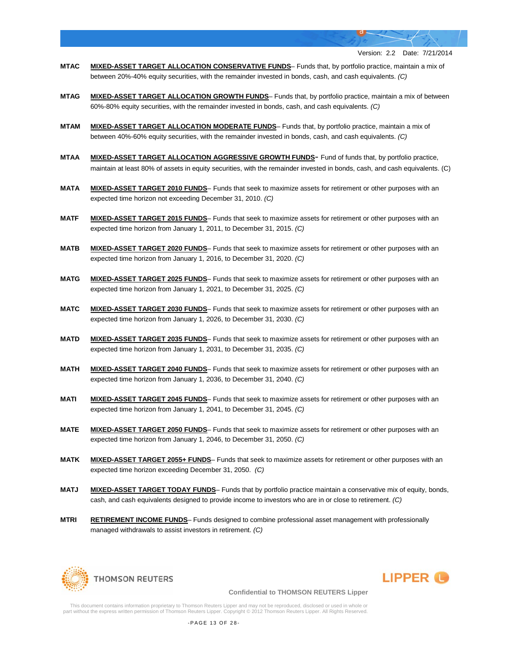- **MTAC MIXED-ASSET TARGET ALLOCATION CONSERVATIVE FUNDS** Funds that, by portfolio practice, maintain a mix of between 20%-40% equity securities, with the remainder invested in bonds, cash, and cash equivalents. *(C)*
- **MTAG MIXED-ASSET TARGET ALLOCATION GROWTH FUNDS** Funds that, by portfolio practice, maintain a mix of between 60%-80% equity securities, with the remainder invested in bonds, cash, and cash equivalents. *(C)*
- **MTAM MIXED-ASSET TARGET ALLOCATION MODERATE FUNDS** Funds that, by portfolio practice, maintain a mix of between 40%-60% equity securities, with the remainder invested in bonds, cash, and cash equivalents. *(C)*
- **MTAA MIXED-ASSET TARGET ALLOCATION AGGRESSIVE GROWTH FUNDS** Fund of funds that, by portfolio practice, maintain at least 80% of assets in equity securities, with the remainder invested in bonds, cash, and cash equivalents. (C)
- **MATA MIXED-ASSET TARGET 2010 FUNDS** Funds that seek to maximize assets for retirement or other purposes with an expected time horizon not exceeding December 31, 2010. *(C)*
- **MATF MIXED-ASSET TARGET 2015 FUNDS** Funds that seek to maximize assets for retirement or other purposes with an expected time horizon from January 1, 2011, to December 31, 2015. *(C)*
- **MATB MIXED-ASSET TARGET 2020 FUNDS** Funds that seek to maximize assets for retirement or other purposes with an expected time horizon from January 1, 2016, to December 31, 2020. *(C)*
- **MATG MIXED-ASSET TARGET 2025 FUNDS** Funds that seek to maximize assets for retirement or other purposes with an expected time horizon from January 1, 2021, to December 31, 2025. *(C)*
- **MATC MIXED-ASSET TARGET 2030 FUNDS** Funds that seek to maximize assets for retirement or other purposes with an expected time horizon from January 1, 2026, to December 31, 2030. *(C)*
- **MATD MIXED-ASSET TARGET 2035 FUNDS** Funds that seek to maximize assets for retirement or other purposes with an expected time horizon from January 1, 2031, to December 31, 2035. *(C)*
- **MATH MIXED-ASSET TARGET 2040 FUNDS** Funds that seek to maximize assets for retirement or other purposes with an expected time horizon from January 1, 2036, to December 31, 2040. *(C)*
- **MATI MIXED-ASSET TARGET 2045 FUNDS** Funds that seek to maximize assets for retirement or other purposes with an expected time horizon from January 1, 2041, to December 31, 2045. *(C)*
- **MATE MIXED-ASSET TARGET 2050 FUNDS** Funds that seek to maximize assets for retirement or other purposes with an expected time horizon from January 1, 2046, to December 31, 2050. *(C)*
- **MATK MIXED-ASSET TARGET 2055+ FUNDS** Funds that seek to maximize assets for retirement or other purposes with an expected time horizon exceeding December 31, 2050. *(C)*
- **MATJ MIXED-ASSET TARGET TODAY FUNDS** Funds that by portfolio practice maintain a conservative mix of equity, bonds, cash, and cash equivalents designed to provide income to investors who are in or close to retirement. *(C)*
- **MTRI RETIREMENT INCOME FUNDS** Funds designed to combine professional asset management with professionally managed withdrawals to assist investors in retirement. *(C)*





#### **Confidential to THOMSON REUTERS Lipper**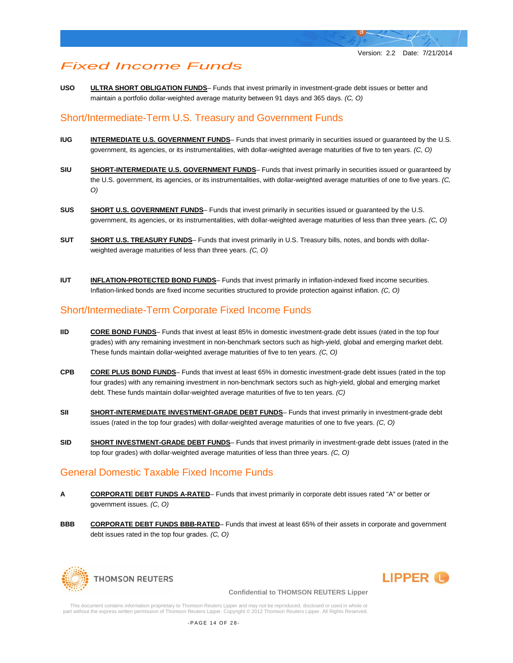# *Fixed Income Funds*

**USO ULTRA SHORT OBLIGATION FUNDS**– Funds that invest primarily in investment-grade debt issues or better and maintain a portfolio dollar-weighted average maturity between 91 days and 365 days. *(C, O)*

# Short/Intermediate-Term U.S. Treasury and Government Funds

- **IUG INTERMEDIATE U.S. GOVERNMENT FUNDS** Funds that invest primarily in securities issued or guaranteed by the U.S. government, its agencies, or its instrumentalities, with dollar-weighted average maturities of five to ten years. *(C, O)*
- **SIU SHORT-INTERMEDIATE U.S. GOVERNMENT FUNDS** Funds that invest primarily in securities issued or guaranteed by the U.S. government, its agencies, or its instrumentalities, with dollar-weighted average maturities of one to five years. *(C, O)*
- **SUS SHORT U.S. GOVERNMENT FUNDS** Funds that invest primarily in securities issued or guaranteed by the U.S. government, its agencies, or its instrumentalities, with dollar-weighted average maturities of less than three years. *(C, O)*
- **SUT SHORT U.S. TREASURY FUNDS** Funds that invest primarily in U.S. Treasury bills, notes, and bonds with dollarweighted average maturities of less than three years. *(C, O)*
- **IUT INFLATION-PROTECTED BOND FUNDS** Funds that invest primarily in inflation-indexed fixed income securities. Inflation-linked bonds are fixed income securities structured to provide protection against inflation. *(C, O)*

# Short/Intermediate-Term Corporate Fixed Income Funds

- **IID CORE BOND FUNDS** Funds that invest at least 85% in domestic investment-grade debt issues (rated in the top four grades) with any remaining investment in non-benchmark sectors such as high-yield, global and emerging market debt. These funds maintain dollar-weighted average maturities of five to ten years. *(C, O)*
- **CPB CORE PLUS BOND FUNDS** Funds that invest at least 65% in domestic investment-grade debt issues (rated in the top four grades) with any remaining investment in non-benchmark sectors such as high-yield, global and emerging market debt. These funds maintain dollar-weighted average maturities of five to ten years. *(C)*
- **SII** SHORT-INTERMEDIATE INVESTMENT-GRADE DEBT FUNDS- Funds that invest primarily in investment-grade debt issues (rated in the top four grades) with dollar-weighted average maturities of one to five years. *(C, O)*
- **SID SHORT INVESTMENT-GRADE DEBT FUNDS** Funds that invest primarily in investment-grade debt issues (rated in the top four grades) with dollar-weighted average maturities of less than three years. *(C, O)*

# General Domestic Taxable Fixed Income Funds

- **A CORPORATE DEBT FUNDS A-RATED** Funds that invest primarily in corporate debt issues rated "A" or better or government issues. *(C, O)*
- **BBB CORPORATE DEBT FUNDS BBB-RATED** Funds that invest at least 65% of their assets in corporate and government debt issues rated in the top four grades. *(C, O)*





#### **Confidential to THOMSON REUTERS Lipper**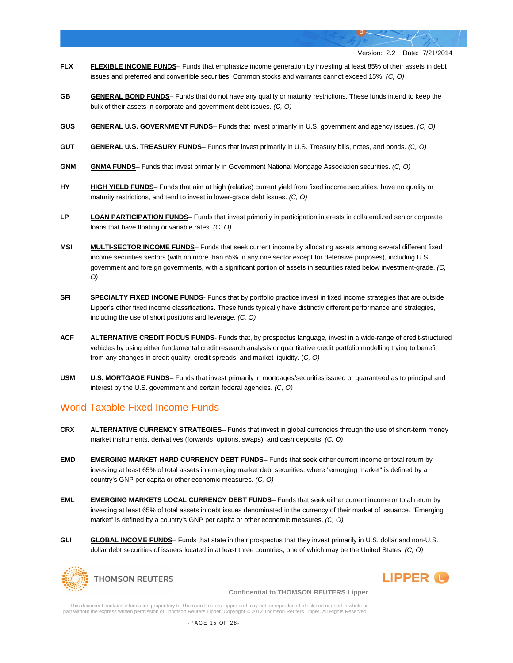- **FLX FLEXIBLE INCOME FUNDS** Funds that emphasize income generation by investing at least 85% of their assets in debt issues and preferred and convertible securities. Common stocks and warrants cannot exceed 15%. *(C, O)*
- **GB GENERAL BOND FUNDS** Funds that do not have any quality or maturity restrictions. These funds intend to keep the bulk of their assets in corporate and government debt issues. *(C, O)*
- **GUS GENERAL U.S. GOVERNMENT FUNDS** Funds that invest primarily in U.S. government and agency issues. *(C, O)*
- **GUT GENERAL U.S. TREASURY FUNDS** Funds that invest primarily in U.S. Treasury bills, notes, and bonds. *(C, O)*
- **GNM GNMA FUNDS** Funds that invest primarily in Government National Mortgage Association securities. *(C, O)*
- **HY HIGH YIELD FUNDS** Funds that aim at high (relative) current yield from fixed income securities, have no quality or maturity restrictions, and tend to invest in lower-grade debt issues. *(C, O)*
- **LP LOAN PARTICIPATION FUNDS** Funds that invest primarily in participation interests in collateralized senior corporate loans that have floating or variable rates. *(C, O)*
- **MSI MULTI-SECTOR INCOME FUNDS** Funds that seek current income by allocating assets among several different fixed income securities sectors (with no more than 65% in any one sector except for defensive purposes), including U.S. government and foreign governments, with a significant portion of assets in securities rated below investment-grade. *(C, O)*
- **SFI SPECIALTY FIXED INCOME FUNDS** Funds that by portfolio practice invest in fixed income strategies that are outside Lipper's other fixed income classifications. These funds typically have distinctly different performance and strategies, including the use of short positions and leverage. *(C, O)*
- **ACF ALTERNATIVE CREDIT FOCUS FUNDS** Funds that, by prospectus language, invest in a wide-range of credit-structured vehicles by using either fundamental credit research analysis or quantitative credit portfolio modelling trying to benefit from any changes in credit quality, credit spreads, and market liquidity. (*C, O)*
- **USM U.S. MORTGAGE FUNDS** Funds that invest primarily in mortgages/securities issued or guaranteed as to principal and interest by the U.S. government and certain federal agencies. *(C, O)*

# World Taxable Fixed Income Funds

- **CRX ALTERNATIVE CURRENCY STRATEGIES** Funds that invest in global currencies through the use of short-term money market instruments, derivatives (forwards, options, swaps), and cash deposits. *(C, O)*
- **EMD EMERGING MARKET HARD CURRENCY DEBT FUNDS** Funds that seek either current income or total return by investing at least 65% of total assets in emerging market debt securities, where "emerging market" is defined by a country's GNP per capita or other economic measures. *(C, O)*
- **EML EMERGING MARKETS LOCAL CURRENCY DEBT FUNDS** Funds that seek either current income or total return by investing at least 65% of total assets in debt issues denominated in the currency of their market of issuance. "Emerging market" is defined by a country's GNP per capita or other economic measures. *(C, O)*
- **GLI GLOBAL INCOME FUNDS** Funds that state in their prospectus that they invest primarily in U.S. dollar and non-U.S. dollar debt securities of issuers located in at least three countries, one of which may be the United States. *(C, O)*



# **LIPPER**

#### **Confidential to THOMSON REUTERS Lipper**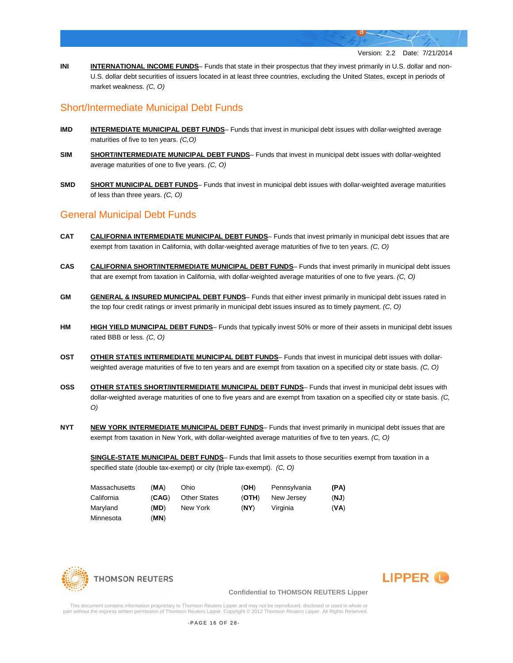**INI INTERNATIONAL INCOME FUNDS**– Funds that state in their prospectus that they invest primarily in U.S. dollar and non-U.S. dollar debt securities of issuers located in at least three countries, excluding the United States, except in periods of market weakness. *(C, O)*

# Short/Intermediate Municipal Debt Funds

- **IMD INTERMEDIATE MUNICIPAL DEBT FUNDS** Funds that invest in municipal debt issues with dollar-weighted average maturities of five to ten years. *(C,O)*
- **SIM SHORT/INTERMEDIATE MUNICIPAL DEBT FUNDS** Funds that invest in municipal debt issues with dollar-weighted average maturities of one to five years. *(C, O)*
- **SMD SHORT MUNICIPAL DEBT FUNDS** Funds that invest in municipal debt issues with dollar-weighted average maturities of less than three years. *(C, O)*

### General Municipal Debt Funds

- **CAT CALIFORNIA INTERMEDIATE MUNICIPAL DEBT FUNDS** Funds that invest primarily in municipal debt issues that are exempt from taxation in California, with dollar-weighted average maturities of five to ten years. *(C, O)*
- **CAS CALIFORNIA SHORT/INTERMEDIATE MUNICIPAL DEBT FUNDS** Funds that invest primarily in municipal debt issues that are exempt from taxation in California, with dollar-weighted average maturities of one to five years. *(C, O)*
- **GM GENERAL & INSURED MUNICIPAL DEBT FUNDS** Funds that either invest primarily in municipal debt issues rated in the top four credit ratings or invest primarily in municipal debt issues insured as to timely payment. *(C, O)*
- **HM HIGH YIELD MUNICIPAL DEBT FUNDS** Funds that typically invest 50% or more of their assets in municipal debt issues rated BBB or less. *(C, O)*
- **OST OTHER STATES INTERMEDIATE MUNICIPAL DEBT FUNDS** Funds that invest in municipal debt issues with dollarweighted average maturities of five to ten years and are exempt from taxation on a specified city or state basis. *(C, O)*
- **OSS OTHER STATES SHORT/INTERMEDIATE MUNICIPAL DEBT FUNDS** Funds that invest in municipal debt issues with dollar-weighted average maturities of one to five years and are exempt from taxation on a specified city or state basis. *(C, O)*
- **NYT NEW YORK INTERMEDIATE MUNICIPAL DEBT FUNDS** Funds that invest primarily in municipal debt issues that are exempt from taxation in New York, with dollar-weighted average maturities of five to ten years. *(C, O)*

**SINGLE-STATE MUNICIPAL DEBT FUNDS**– Funds that limit assets to those securities exempt from taxation in a specified state (double tax-exempt) or city (triple tax-exempt). *(C, O)*

| Massachusetts | (MA)  | Ohio                | (OH)  | Pennsvlvania | (PA) |
|---------------|-------|---------------------|-------|--------------|------|
| California    | (CAG) | <b>Other States</b> | (OTH) | New Jersey   | (NJ) |
| Maryland      | (MD)  | New York            | (NY)  | Virginia     | (VA) |
| Minnesota     | (MN)  |                     |       |              |      |





#### **Confidential to THOMSON REUTERS Lipper**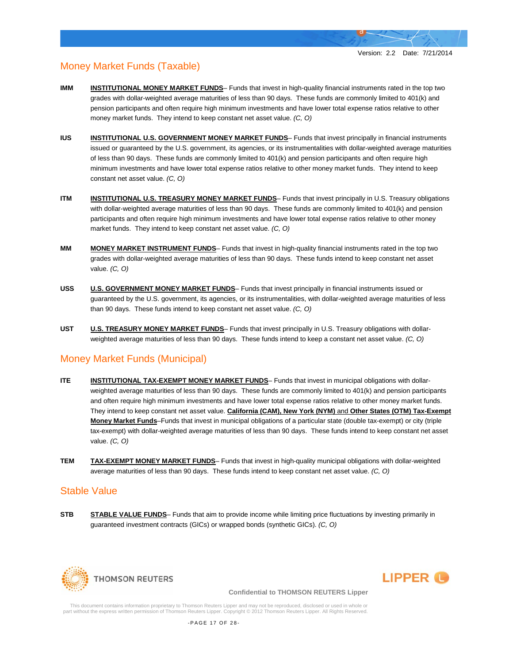# Money Market Funds (Taxable)

- **IMM INSTITUTIONAL MONEY MARKET FUNDS** Funds that invest in high-quality financial instruments rated in the top two grades with dollar-weighted average maturities of less than 90 days. These funds are commonly limited to 401(k) and pension participants and often require high minimum investments and have lower total expense ratios relative to other money market funds. They intend to keep constant net asset value. *(C, O)*
- **IUS INSTITUTIONAL U.S. GOVERNMENT MONEY MARKET FUNDS** Funds that invest principally in financial instruments issued or guaranteed by the U.S. government, its agencies, or its instrumentalities with dollar-weighted average maturities of less than 90 days. These funds are commonly limited to 401(k) and pension participants and often require high minimum investments and have lower total expense ratios relative to other money market funds. They intend to keep constant net asset value. *(C, O)*
- **ITM INSTITUTIONAL U.S. TREASURY MONEY MARKET FUNDS** Funds that invest principally in U.S. Treasury obligations with dollar-weighted average maturities of less than 90 days. These funds are commonly limited to 401(k) and pension participants and often require high minimum investments and have lower total expense ratios relative to other money market funds. They intend to keep constant net asset value. *(C, O)*
- **MM MONEY MARKET INSTRUMENT FUNDS** Funds that invest in high-quality financial instruments rated in the top two grades with dollar-weighted average maturities of less than 90 days. These funds intend to keep constant net asset value. *(C, O)*
- **USS U.S. GOVERNMENT MONEY MARKET FUNDS** Funds that invest principally in financial instruments issued or guaranteed by the U.S. government, its agencies, or its instrumentalities, with dollar-weighted average maturities of less than 90 days. These funds intend to keep constant net asset value. *(C, O)*
- **UST U.S. TREASURY MONEY MARKET FUNDS** Funds that invest principally in U.S. Treasury obligations with dollarweighted average maturities of less than 90 days. These funds intend to keep a constant net asset value. *(C, O)*

# Money Market Funds (Municipal)

- **ITE INSTITUTIONAL TAX-EXEMPT MONEY MARKET FUNDS** Funds that invest in municipal obligations with dollarweighted average maturities of less than 90 days. These funds are commonly limited to 401(k) and pension participants and often require high minimum investments and have lower total expense ratios relative to other money market funds. They intend to keep constant net asset value. **California (CAM), New York (NYM)** and **Other States (OTM) Tax-Exempt Money Market Funds**–Funds that invest in municipal obligations of a particular state (double tax-exempt) or city (triple tax-exempt) with dollar-weighted average maturities of less than 90 days. These funds intend to keep constant net asset value. *(C, O)*
- **TEM TAX-EXEMPT MONEY MARKET FUNDS** Funds that invest in high-quality municipal obligations with dollar-weighted average maturities of less than 90 days. These funds intend to keep constant net asset value. *(C, O)*

### Stable Value

**STB STABLE VALUE FUNDS**– Funds that aim to provide income while limiting price fluctuations by investing primarily in guaranteed investment contracts (GICs) or wrapped bonds (synthetic GICs). *(C, O)*





#### **Confidential to THOMSON REUTERS Lipper**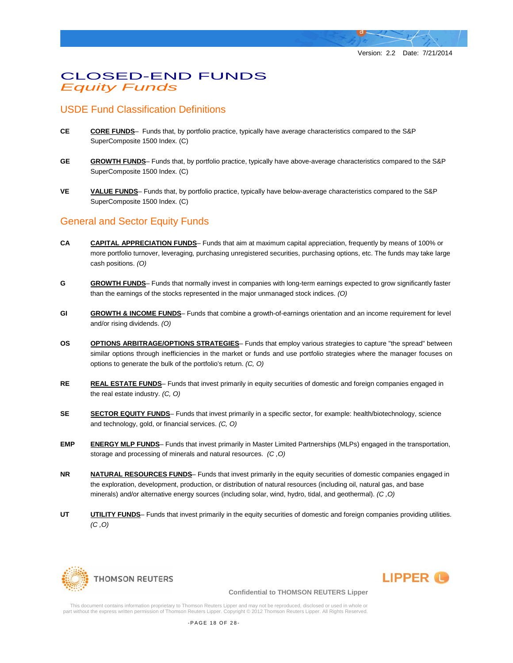# CLOSED-END FUNDS *Equity Funds*

# USDE Fund Classification Definitions

- **CE CORE FUNDS** Funds that, by portfolio practice, typically have average characteristics compared to the S&P SuperComposite 1500 Index. (C)
- **GE GROWTH FUNDS** Funds that, by portfolio practice, typically have above-average characteristics compared to the S&P SuperComposite 1500 Index. (C)
- **VE VALUE FUNDS** Funds that, by portfolio practice, typically have below-average characteristics compared to the S&P SuperComposite 1500 Index. (C)

# General and Sector Equity Funds

- **CA CAPITAL APPRECIATION FUNDS** Funds that aim at maximum capital appreciation, frequently by means of 100% or more portfolio turnover, leveraging, purchasing unregistered securities, purchasing options, etc. The funds may take large cash positions. *(O)*
- **G GROWTH FUNDS** Funds that normally invest in companies with long-term earnings expected to grow significantly faster than the earnings of the stocks represented in the major unmanaged stock indices. *(O)*
- **GI GROWTH & INCOME FUNDS** Funds that combine a growth-of-earnings orientation and an income requirement for level and/or rising dividends. *(O)*
- **OS OPTIONS ARBITRAGE/OPTIONS STRATEGIES** Funds that employ various strategies to capture "the spread" between similar options through inefficiencies in the market or funds and use portfolio strategies where the manager focuses on options to generate the bulk of the portfolio's return. *(C, O)*
- **RE REAL ESTATE FUNDS** Funds that invest primarily in equity securities of domestic and foreign companies engaged in the real estate industry. *(C, O)*
- **SECTOR EQUITY FUNDS** Funds that invest primarily in a specific sector, for example: health/biotechnology, science and technology, gold, or financial services. *(C, O)*
- **EMP ENERGY MLP FUNDS** Funds that invest primarily in Master Limited Partnerships (MLPs) engaged in the transportation, storage and processing of minerals and natural resources. *(C ,O)*
- **NR NATURAL RESOURCES FUNDS** Funds that invest primarily in the equity securities of domestic companies engaged in the exploration, development, production, or distribution of natural resources (including oil, natural gas, and base minerals) and/or alternative energy sources (including solar, wind, hydro, tidal, and geothermal). *(C ,O)*
- **UTI LITTY FUNDS** Funds that invest primarily in the equity securities of domestic and foreign companies providing utilities. *(C ,O)*





#### **Confidential to THOMSON REUTERS Lipper**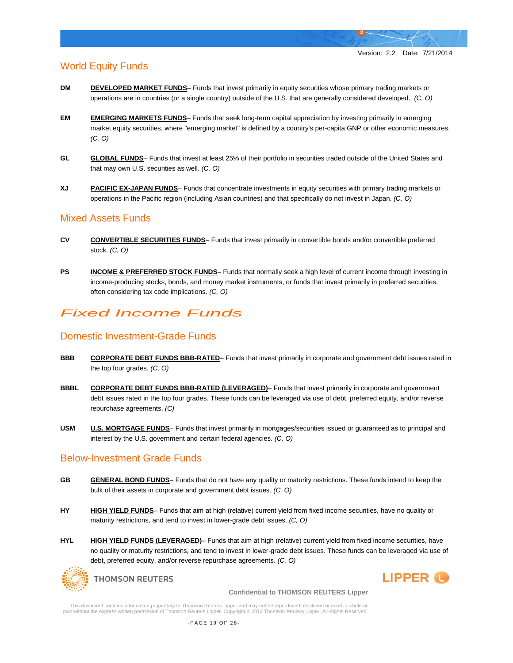**LIPPER** 

# World Equity Funds

- **DM DEVELOPED MARKET FUNDS** Funds that invest primarily in equity securities whose primary trading markets or operations are in countries (or a single country) outside of the U.S. that are generally considered developed. *(C, O)*
- **EM EMERGING MARKETS FUNDS** Funds that seek long-term capital appreciation by investing primarily in emerging market equity securities, where "emerging market" is defined by a country's per-capita GNP or other economic measures. *(C, O)*
- **GL GLOBAL FUNDS** Funds that invest at least 25% of their portfolio in securities traded outside of the United States and that may own U.S. securities as well. *(C, O)*
- **XJ PACIFIC EX-JAPAN FUNDS** Funds that concentrate investments in equity securities with primary trading markets or operations in the Pacific region (including Asian countries) and that specifically do not invest in Japan. *(C, O)*

## Mixed Assets Funds

- **CV CONVERTIBLE SECURITIES FUNDS** Funds that invest primarily in convertible bonds and/or convertible preferred stock. *(C, O)*
- **PS INCOME & PREFERRED STOCK FUNDS** Funds that normally seek a high level of current income through investing in income-producing stocks, bonds, and money market instruments, or funds that invest primarily in preferred securities, often considering tax code implications. *(C, O)*

# *Fixed Income Funds*

## Domestic Investment-Grade Funds

- **BBB CORPORATE DEBT FUNDS BBB-RATED** Funds that invest primarily in corporate and government debt issues rated in the top four grades. *(C, O)*
- **BBBL CORPORATE DEBT FUNDS BBB-RATED (LEVERAGED)** Funds that invest primarily in corporate and government debt issues rated in the top four grades. These funds can be leveraged via use of debt, preferred equity, and/or reverse repurchase agreements. *(C)*
- **USM U.S. MORTGAGE FUNDS** Funds that invest primarily in mortgages/securities issued or guaranteed as to principal and interest by the U.S. government and certain federal agencies. *(C, O)*

# Below-Investment Grade Funds

- **GB GENERAL BOND FUNDS** Funds that do not have any quality or maturity restrictions. These funds intend to keep the bulk of their assets in corporate and government debt issues. *(C, O)*
- HY HIGH YIELD FUNDS- Funds that aim at high (relative) current yield from fixed income securities, have no quality or maturity restrictions, and tend to invest in lower-grade debt issues. *(C, O)*
- HYL **HIGH YIELD FUNDS (LEVERAGED)** Funds that aim at high (relative) current yield from fixed income securities, have no quality or maturity restrictions, and tend to invest in lower-grade debt issues. These funds can be leveraged via use of debt, preferred equity, and/or reverse repurchase agreements. *(C, O)*



**Confidential to THOMSON REUTERS Lipper**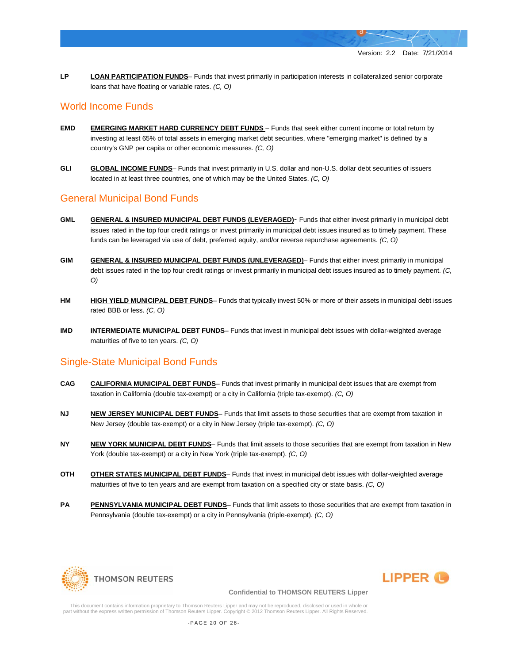**LP LOAN PARTICIPATION FUNDS**– Funds that invest primarily in participation interests in collateralized senior corporate loans that have floating or variable rates. *(C, O)*

# World Income Funds

- **EMD EMERGING MARKET HARD CURRENCY DEBT FUNDS** Funds that seek either current income or total return by investing at least 65% of total assets in emerging market debt securities, where "emerging market" is defined by a country's GNP per capita or other economic measures. *(C, O)*
- **GLI GLOBAL INCOME FUNDS** Funds that invest primarily in U.S. dollar and non-U.S. dollar debt securities of issuers located in at least three countries, one of which may be the United States. *(C, O)*

# General Municipal Bond Funds

- **GML GENERAL & INSURED MUNICIPAL DEBT FUNDS (LEVERAGED)** Funds that either invest primarily in municipal debt issues rated in the top four credit ratings or invest primarily in municipal debt issues insured as to timely payment. These funds can be leveraged via use of debt, preferred equity, and/or reverse repurchase agreements. *(C, O)*
- **GIM GENERAL & INSURED MUNICIPAL DEBT FUNDS (UNLEVERAGED)** Funds that either invest primarily in municipal debt issues rated in the top four credit ratings or invest primarily in municipal debt issues insured as to timely payment. *(C, O)*
- **HM HIGH YIELD MUNICIPAL DEBT FUNDS** Funds that typically invest 50% or more of their assets in municipal debt issues rated BBB or less. *(C, O)*
- **IMD INTERMEDIATE MUNICIPAL DEBT FUNDS** Funds that invest in municipal debt issues with dollar-weighted average maturities of five to ten years. *(C, O)*

# Single-State Municipal Bond Funds

- **CAG CALIFORNIA MUNICIPAL DEBT FUNDS** Funds that invest primarily in municipal debt issues that are exempt from taxation in California (double tax-exempt) or a city in California (triple tax-exempt). *(C, O)*
- **NJ NEW JERSEY MUNICIPAL DEBT FUNDS** Funds that limit assets to those securities that are exempt from taxation in New Jersey (double tax-exempt) or a city in New Jersey (triple tax-exempt). *(C, O)*
- **NY NEW YORK MUNICIPAL DEBT FUNDS** Funds that limit assets to those securities that are exempt from taxation in New York (double tax-exempt) or a city in New York (triple tax-exempt). *(C, O)*
- **OTH OTHER STATES MUNICIPAL DEBT FUNDS** Funds that invest in municipal debt issues with dollar-weighted average maturities of five to ten years and are exempt from taxation on a specified city or state basis. *(C, O)*
- **PA PENNSYLVANIA MUNICIPAL DEBT FUNDS** Funds that limit assets to those securities that are exempt from taxation in Pennsylvania (double tax-exempt) or a city in Pennsylvania (triple-exempt). *(C, O)*





#### **Confidential to THOMSON REUTERS Lipper**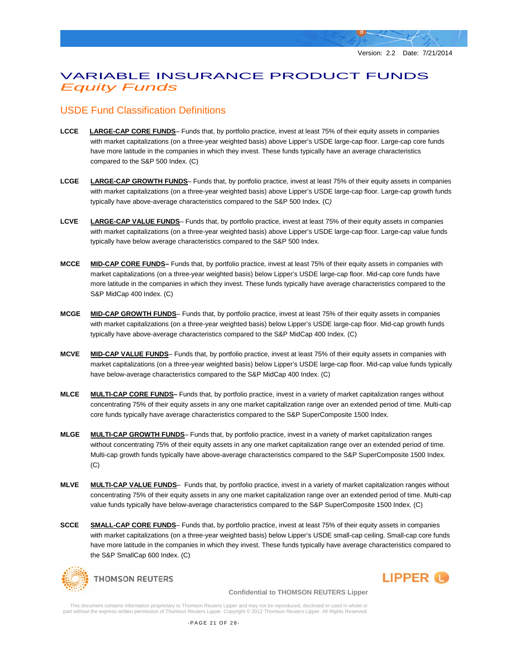# VARIABLE INSURANCE PRODUCT FUNDS *Equity Funds*

# USDE Fund Classification Definitions

- **LCCE LARGE-CAP CORE FUNDS** Funds that, by portfolio practice, invest at least 75% of their equity assets in companies with market capitalizations (on a three-year weighted basis) above Lipper's USDE large-cap floor. Large-cap core funds have more latitude in the companies in which they invest. These funds typically have an average characteristics compared to the S&P 500 Index. (C)
- **LCGE LARGE-CAP GROWTH FUNDS** Funds that, by portfolio practice, invest at least 75% of their equity assets in companies with market capitalizations (on a three-year weighted basis) above Lipper's USDE large-cap floor. Large-cap growth funds typically have above-average characteristics compared to the S&P 500 Index. (C*)*
- **LCVE LARGE-CAP VALUE FUNDS** Funds that, by portfolio practice, invest at least 75% of their equity assets in companies with market capitalizations (on a three-year weighted basis) above Lipper's USDE large-cap floor. Large-cap value funds typically have below average characteristics compared to the S&P 500 Index.
- **MCCE MID-CAP CORE FUNDS–** Funds that, by portfolio practice, invest at least 75% of their equity assets in companies with market capitalizations (on a three-year weighted basis) below Lipper's USDE large-cap floor. Mid-cap core funds have more latitude in the companies in which they invest. These funds typically have average characteristics compared to the S&P MidCap 400 Index. (C)
- **MCGE MID-CAP GROWTH FUNDS** Funds that, by portfolio practice, invest at least 75% of their equity assets in companies with market capitalizations (on a three-year weighted basis) below Lipper's USDE large-cap floor. Mid-cap growth funds typically have above-average characteristics compared to the S&P MidCap 400 Index. (C)
- **MCVE MID-CAP VALUE FUNDS** Funds that, by portfolio practice, invest at least 75% of their equity assets in companies with market capitalizations (on a three-year weighted basis) below Lipper's USDE large-cap floor. Mid-cap value funds typically have below-average characteristics compared to the S&P MidCap 400 Index. (C)
- **MLCE MULTI-CAP CORE FUNDS–** Funds that, by portfolio practice, invest in a variety of market capitalization ranges without concentrating 75% of their equity assets in any one market capitalization range over an extended period of time. Multi-cap core funds typically have average characteristics compared to the S&P SuperComposite 1500 Index.
- **MLGE MULTI-CAP GROWTH FUNDS** Funds that, by portfolio practice, invest in a variety of market capitalization ranges without concentrating 75% of their equity assets in any one market capitalization range over an extended period of time. Multi-cap growth funds typically have above-average characteristics compared to the S&P SuperComposite 1500 Index. (C)
- **MLVE MULTI-CAP VALUE FUNDS** Funds that, by portfolio practice, invest in a variety of market capitalization ranges without concentrating 75% of their equity assets in any one market capitalization range over an extended period of time. Multi-cap value funds typically have below-average characteristics compared to the S&P SuperComposite 1500 Index. (C)
- **SCCE SMALL-CAP CORE FUNDS** Funds that, by portfolio practice, invest at least 75% of their equity assets in companies with market capitalizations (on a three-year weighted basis) below Lipper's USDE small-cap ceiling. Small-cap core funds have more latitude in the companies in which they invest. These funds typically have average characteristics compared to the S&P SmallCap 600 Index. (C)



**LIPPER** 

**Confidential to THOMSON REUTERS Lipper**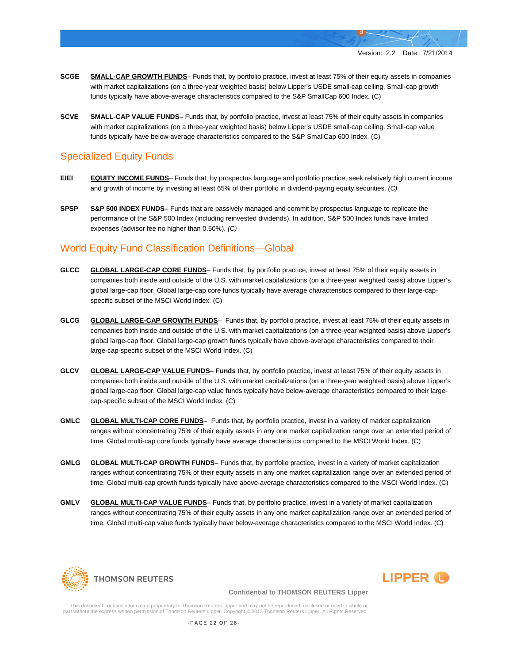- **SCGE SMALL-CAP GROWTH FUNDS** Funds that, by portfolio practice, invest at least 75% of their equity assets in companies with market capitalizations (on a three-year weighted basis) below Lipper's USDE small-cap ceiling. Small-cap growth funds typically have above-average characteristics compared to the S&P SmallCap 600 Index. (C)
- **SCVE SMALL-CAP VALUE FUNDS** Funds that, by portfolio practice, invest at least 75% of their equity assets in companies with market capitalizations (on a three-year weighted basis) below Lipper's USDE small-cap ceiling. Small-cap value funds typically have below-average characteristics compared to the S&P SmallCap 600 Index. (C)

# Specialized Equity Funds

- **EIEI EQUITY INCOME FUNDS** Funds that, by prospectus language and portfolio practice, seek relatively high current income and growth of income by investing at least 65% of their portfolio in dividend-paying equity securities. *(C)*
- **SPSP S&P 500 INDEX FUNDS** Funds that are passively managed and commit by prospectus language to replicate the performance of the S&P 500 Index (including reinvested dividends). In addition, S&P 500 Index funds have limited expenses (advisor fee no higher than 0.50%). *(C)*

# World Equity Fund Classification Definitions—Global

- **GLCC GLOBAL LARGE-CAP CORE FUNDS** Funds that, by portfolio practice, invest at least 75% of their equity assets in companies both inside and outside of the U.S. with market capitalizations (on a three-year weighted basis) above Lipper's global large-cap floor. Global large-cap core funds typically have average characteristics compared to their large-capspecific subset of the MSCI World Index. (C)
- **GLCG GLOBAL LARGE-CAP GROWTH FUNDS** Funds that, by portfolio practice, invest at least 75% of their equity assets in companies both inside and outside of the U.S. with market capitalizations (on a three-year weighted basis) above Lipper's global large-cap floor. Global large-cap growth funds typically have above-average characteristics compared to their large-cap-specific subset of the MSCI World Index. (C)
- **GLCV GLOBAL LARGE-CAP VALUE FUNDS– Funds** that, by portfolio practice, invest at least 75% of their equity assets in companies both inside and outside of the U.S. with market capitalizations (on a three-year weighted basis) above Lipper's global large-cap floor. Global large-cap value funds typically have below-average characteristics compared to their largecap-specific subset of the MSCI World Index. (C)
- **GMLC GLOBAL MULTI-CAP CORE FUNDS–** Funds that, by portfolio practice, invest in a variety of market capitalization ranges without concentrating 75% of their equity assets in any one market capitalization range over an extended period of time. Global multi-cap core funds typically have average characteristics compared to the MSCI World Index. (C)
- **GMLG GLOBAL MULTI-CAP GROWTH FUNDS–** Funds that, by portfolio practice, invest in a variety of market capitalization ranges without concentrating 75% of their equity assets in any one market capitalization range over an extended period of time. Global multi-cap growth funds typically have above-average characteristics compared to the MSCI World Index. (C)
- **GMLV GLOBAL MULTI-CAP VALUE FUNDS** Funds that, by portfolio practice, invest in a variety of market capitalization ranges without concentrating 75% of their equity assets in any one market capitalization range over an extended period of time. Global multi-cap value funds typically have below-average characteristics compared to the MSCI World Index. (C)





#### **Confidential to THOMSON REUTERS Lipper**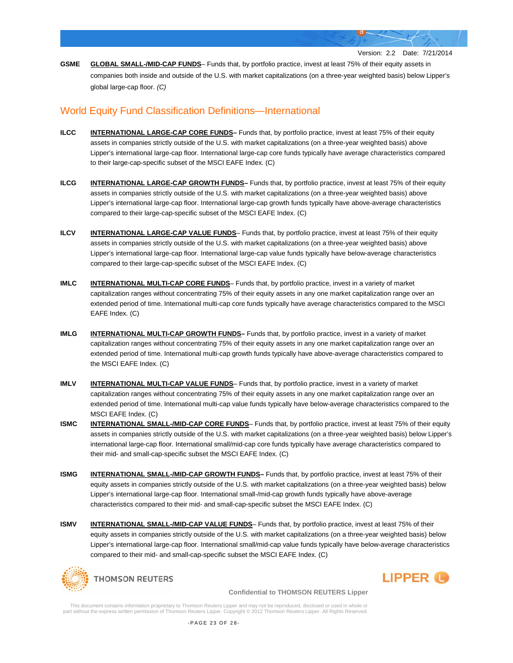**GSME GLOBAL SMALL-/MID-CAP FUNDS**– Funds that, by portfolio practice, invest at least 75% of their equity assets in companies both inside and outside of the U.S. with market capitalizations (on a three-year weighted basis) below Lipper's global large-cap floor. *(C)*

# World Equity Fund Classification Definitions—International

- **ILCC INTERNATIONAL LARGE-CAP CORE FUNDS–** Funds that, by portfolio practice, invest at least 75% of their equity assets in companies strictly outside of the U.S. with market capitalizations (on a three-year weighted basis) above Lipper's international large-cap floor. International large-cap core funds typically have average characteristics compared to their large-cap-specific subset of the MSCI EAFE Index. (C)
- **ILCG INTERNATIONAL LARGE-CAP GROWTH FUNDS–** Funds that, by portfolio practice, invest at least 75% of their equity assets in companies strictly outside of the U.S. with market capitalizations (on a three-year weighted basis) above Lipper's international large-cap floor. International large-cap growth funds typically have above-average characteristics compared to their large-cap-specific subset of the MSCI EAFE Index. (C)
- **ILCV INTERNATIONAL LARGE-CAP VALUE FUNDS** Funds that, by portfolio practice, invest at least 75% of their equity assets in companies strictly outside of the U.S. with market capitalizations (on a three-year weighted basis) above Lipper's international large-cap floor. International large-cap value funds typically have below-average characteristics compared to their large-cap-specific subset of the MSCI EAFE Index. (C)
- **IMLC INTERNATIONAL MULTI-CAP CORE FUNDS** Funds that, by portfolio practice, invest in a variety of market capitalization ranges without concentrating 75% of their equity assets in any one market capitalization range over an extended period of time. International multi-cap core funds typically have average characteristics compared to the MSCI EAFE Index. (C)
- **IMLG INTERNATIONAL MULTI-CAP GROWTH FUNDS–** Funds that, by portfolio practice, invest in a variety of market capitalization ranges without concentrating 75% of their equity assets in any one market capitalization range over an extended period of time. International multi-cap growth funds typically have above-average characteristics compared to the MSCI EAFE Index. (C)
- **IMLV INTERNATIONAL MULTI-CAP VALUE FUNDS** Funds that, by portfolio practice, invest in a variety of market capitalization ranges without concentrating 75% of their equity assets in any one market capitalization range over an extended period of time. International multi-cap value funds typically have below-average characteristics compared to the MSCI EAFE Index. (C)
- **ISMC INTERNATIONAL SMALL-/MID-CAP CORE FUNDS** Funds that, by portfolio practice, invest at least 75% of their equity assets in companies strictly outside of the U.S. with market capitalizations (on a three-year weighted basis) below Lipper's international large-cap floor. International small/mid-cap core funds typically have average characteristics compared to their mid- and small-cap-specific subset the MSCI EAFE Index. (C)
- **ISMG INTERNATIONAL SMALL-/MID-CAP GROWTH FUNDS** Funds that, by portfolio practice, invest at least 75% of their equity assets in companies strictly outside of the U.S. with market capitalizations (on a three-year weighted basis) below Lipper's international large-cap floor. International small-/mid-cap growth funds typically have above-average characteristics compared to their mid- and small-cap-specific subset the MSCI EAFE Index. (C)
- **ISMV INTERNATIONAL SMALL-/MID-CAP VALUE FUNDS** Funds that, by portfolio practice, invest at least 75% of their equity assets in companies strictly outside of the U.S. with market capitalizations (on a three-year weighted basis) below Lipper's international large-cap floor. International small/mid-cap value funds typically have below-average characteristics compared to their mid- and small-cap-specific subset the MSCI EAFE Index. (C)



LIPPER **(B)** 

**Confidential to THOMSON REUTERS Lipper**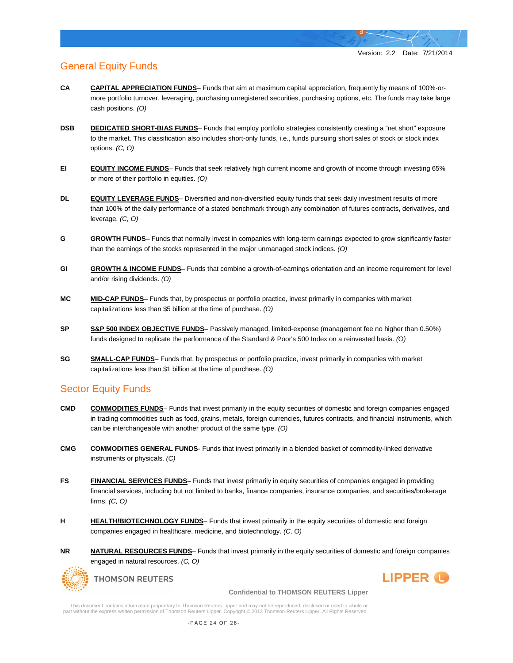# General Equity Funds

- **CA CAPITAL APPRECIATION FUNDS** Funds that aim at maximum capital appreciation, frequently by means of 100%-ormore portfolio turnover, leveraging, purchasing unregistered securities, purchasing options, etc. The funds may take large cash positions. *(O)*
- **DSB DEDICATED SHORT-BIAS FUNDS** Funds that employ portfolio strategies consistently creating a "net short" exposure to the market. This classification also includes short-only funds, i.e., funds pursuing short sales of stock or stock index options. *(C, O)*
- **EI EQUITY INCOME FUNDS** Funds that seek relatively high current income and growth of income through investing 65% or more of their portfolio in equities. *(O)*
- **DL <b>EQUITY LEVERAGE FUNDS** Diversified and non-diversified equity funds that seek daily investment results of more than 100% of the daily performance of a stated benchmark through any combination of futures contracts, derivatives, and leverage. *(C, O)*
- **G GROWTH FUNDS** Funds that normally invest in companies with long-term earnings expected to grow significantly faster than the earnings of the stocks represented in the major unmanaged stock indices. *(O)*
- **GI GROWTH & INCOME FUNDS** Funds that combine a growth-of-earnings orientation and an income requirement for level and/or rising dividends. *(O)*
- **MC MID-CAP FUNDS** Funds that, by prospectus or portfolio practice, invest primarily in companies with market capitalizations less than \$5 billion at the time of purchase. *(O)*
- **SP S&P 500 INDEX OBJECTIVE FUNDS** Passively managed, limited-expense (management fee no higher than 0.50%) funds designed to replicate the performance of the Standard & Poor's 500 Index on a reinvested basis. *(O)*
- **SG SMALL-CAP FUNDS** Funds that, by prospectus or portfolio practice, invest primarily in companies with market capitalizations less than \$1 billion at the time of purchase. *(O)*

### Sector Equity Funds

- **CMD COMMODITIES FUNDS** Funds that invest primarily in the equity securities of domestic and foreign companies engaged in trading commodities such as food, grains, metals, foreign currencies, futures contracts, and financial instruments, which can be interchangeable with another product of the same type. *(O)*
- **CMG COMMODITIES GENERAL FUNDS** Funds that invest primarily in a blended basket of commodity-linked derivative instruments or physicals. *(C)*
- **FS FINANCIAL SERVICES FUNDS** Funds that invest primarily in equity securities of companies engaged in providing financial services, including but not limited to banks, finance companies, insurance companies, and securities/brokerage firms. *(C, O)*
- **H HEALTH/BIOTECHNOLOGY FUNDS** Funds that invest primarily in the equity securities of domestic and foreign companies engaged in healthcare, medicine, and biotechnology. *(C, O)*
- **NR NATURAL RESOURCES FUNDS** Funds that invest primarily in the equity securities of domestic and foreign companies engaged in natural resources. *(C, O)*



**THOMSON REUTERS** 



**Confidential to THOMSON REUTERS Lipper**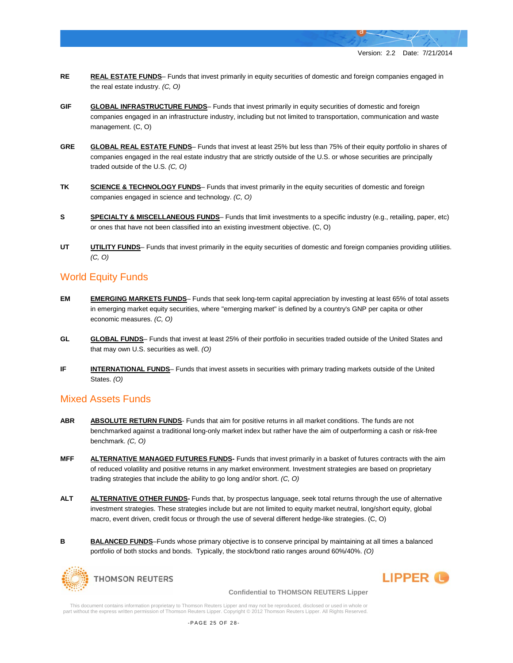- **RE REAL ESTATE FUNDS** Funds that invest primarily in equity securities of domestic and foreign companies engaged in the real estate industry. *(C, O)*
- **GIF GLOBAL INFRASTRUCTURE FUNDS** Funds that invest primarily in equity securities of domestic and foreign companies engaged in an infrastructure industry, including but not limited to transportation, communication and waste management. (C, O)
- **GRE GLOBAL REAL ESTATE FUNDS** Funds that invest at least 25% but less than 75% of their equity portfolio in shares of companies engaged in the real estate industry that are strictly outside of the U.S. or whose securities are principally traded outside of the U.S. *(C, O)*
- **TK SCIENCE & TECHNOLOGY FUNDS** Funds that invest primarily in the equity securities of domestic and foreign companies engaged in science and technology. *(C, O)*
- **S SPECIALTY & MISCELLANEOUS FUNDS** Funds that limit investments to a specific industry (e.g., retailing, paper, etc) or ones that have not been classified into an existing investment objective. (C, O)
- **UTILITY FUNDS** Funds that invest primarily in the equity securities of domestic and foreign companies providing utilities. *(C, O)*

### World Equity Funds

- **EM EMERGING MARKETS FUNDS** Funds that seek long-term capital appreciation by investing at least 65% of total assets in emerging market equity securities, where "emerging market" is defined by a country's GNP per capita or other economic measures. *(C, O)*
- **GL GLOBAL FUNDS** Funds that invest at least 25% of their portfolio in securities traded outside of the United States and that may own U.S. securities as well. *(O)*
- **IF INTERNATIONAL FUNDS** Funds that invest assets in securities with primary trading markets outside of the United States. *(O)*

### Mixed Assets Funds

- **ABR ABSOLUTE RETURN FUNDS** Funds that aim for positive returns in all market conditions. The funds are not benchmarked against a traditional long-only market index but rather have the aim of outperforming a cash or risk-free benchmark. *(C, O)*
- **MFF ALTERNATIVE MANAGED FUTURES FUNDS-** Funds that invest primarily in a basket of futures contracts with the aim of reduced volatility and positive returns in any market environment. Investment strategies are based on proprietary trading strategies that include the ability to go long and/or short. *(C, O)*
- **ALT ALTERNATIVE OTHER FUNDS-** Funds that, by prospectus language, seek total returns through the use of alternative investment strategies. These strategies include but are not limited to equity market neutral, long/short equity, global macro, event driven, credit focus or through the use of several different hedge-like strategies. (C, O)
- **B BALANCED FUNDS**–Funds whose primary objective is to conserve principal by maintaining at all times a balanced portfolio of both stocks and bonds. Typically, the stock/bond ratio ranges around 60%/40%. *(O)*



LIPPER <sup>(1)</sup>

**Confidential to THOMSON REUTERS Lipper**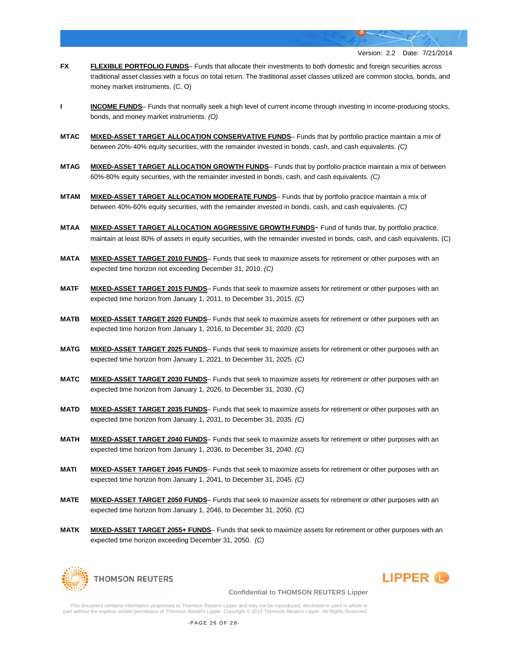- **FX FLEXIBLE PORTFOLIO FUNDS** Funds that allocate their investments to both domestic and foreign securities across traditional asset classes with a focus on total return. The traditional asset classes utilized are common stocks, bonds, and money market instruments. (C, O)
- **I INCOME FUNDS** Funds that normally seek a high level of current income through investing in income-producing stocks, bonds, and money market instruments. *(O)*
- **MTAC MIXED-ASSET TARGET ALLOCATION CONSERVATIVE FUNDS** Funds that by portfolio practice maintain a mix of between 20%-40% equity securities, with the remainder invested in bonds, cash, and cash equivalents. *(C)*
- **MTAG MIXED-ASSET TARGET ALLOCATION GROWTH FUNDS** Funds that by portfolio practice maintain a mix of between 60%-80% equity securities, with the remainder invested in bonds, cash, and cash equivalents. *(C)*
- **MTAM MIXED-ASSET TARGET ALLOCATION MODERATE FUNDS** Funds that by portfolio practice maintain a mix of between 40%-60% equity securities, with the remainder invested in bonds, cash, and cash equivalents. *(C)*
- **MTAA MIXED-ASSET TARGET ALLOCATION AGGRESSIVE GROWTH FUNDS** Fund of funds that, by portfolio practice, maintain at least 80% of assets in equity securities, with the remainder invested in bonds, cash, and cash equivalents. (C)
- **MATA MIXED-ASSET TARGET 2010 FUNDS** Funds that seek to maximize assets for retirement or other purposes with an expected time horizon not exceeding December 31, 2010. *(C)*
- **MATF MIXED-ASSET TARGET 2015 FUNDS** Funds that seek to maximize assets for retirement or other purposes with an expected time horizon from January 1, 2011, to December 31, 2015. *(C)*
- **MATB MIXED-ASSET TARGET 2020 FUNDS** Funds that seek to maximize assets for retirement or other purposes with an expected time horizon from January 1, 2016, to December 31, 2020. *(C)*
- **MATG MIXED-ASSET TARGET 2025 FUNDS** Funds that seek to maximize assets for retirement or other purposes with an expected time horizon from January 1, 2021, to December 31, 2025. *(C)*
- **MATC MIXED-ASSET TARGET 2030 FUNDS** Funds that seek to maximize assets for retirement or other purposes with an expected time horizon from January 1, 2026, to December 31, 2030. *(C)*
- **MATD MIXED-ASSET TARGET 2035 FUNDS** Funds that seek to maximize assets for retirement or other purposes with an expected time horizon from January 1, 2031, to December 31, 2035. *(C)*
- **MATH MIXED-ASSET TARGET 2040 FUNDS** Funds that seek to maximize assets for retirement or other purposes with an expected time horizon from January 1, 2036, to December 31, 2040. *(C)*
- **MATI MIXED-ASSET TARGET 2045 FUNDS** Funds that seek to maximize assets for retirement or other purposes with an expected time horizon from January 1, 2041, to December 31, 2045. *(C)*
- **MATE MIXED-ASSET TARGET 2050 FUNDS** Funds that seek to maximize assets for retirement or other purposes with an expected time horizon from January 1, 2046, to December 31, 2050. *(C)*
- **MATK MIXED-ASSET TARGET 2055+ FUNDS** Funds that seek to maximize assets for retirement or other purposes with an expected time horizon exceeding December 31, 2050. *(C)*



# **LIPPER**

**Confidential to THOMSON REUTERS Lipper**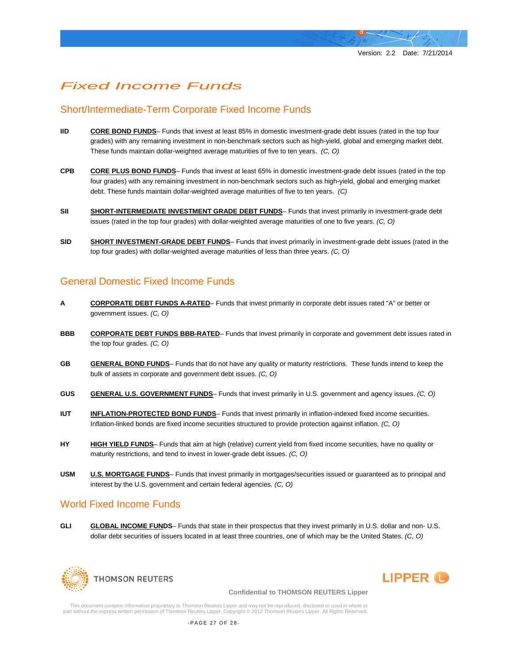# *Fixed Income Funds*

# Short/Intermediate-Term Corporate Fixed Income Funds

- **IID CORE BOND FUNDS** Funds that invest at least 85% in domestic investment-grade debt issues (rated in the top four grades) with any remaining investment in non-benchmark sectors such as high-yield, global and emerging market debt. These funds maintain dollar-weighted average maturities of five to ten years. *(C, O)*
- **CPB CORE PLUS BOND FUNDS** Funds that invest at least 65% in domestic investment-grade debt issues (rated in the top four grades) with any remaining investment in non-benchmark sectors such as high-yield, global and emerging market debt. These funds maintain dollar-weighted average maturities of five to ten years. *(C)*
- **SII** SHORT-INTERMEDIATE INVESTMENT GRADE DEBT FUNDS- Funds that invest primarily in investment-grade debt issues (rated in the top four grades) with dollar-weighted average maturities of one to five years. *(C, O)*
- **SID SHORT INVESTMENT-GRADE DEBT FUNDS** Funds that invest primarily in investment-grade debt issues (rated in the top four grades) with dollar-weighted average maturities of less than three years. *(C, O)*

# General Domestic Fixed Income Funds

- **A CORPORATE DEBT FUNDS A-RATED** Funds that invest primarily in corporate debt issues rated "A" or better or government issues. *(C, O)*
- **BBB CORPORATE DEBT FUNDS BBB-RATED** Funds that invest primarily in corporate and government debt issues rated in the top four grades. *(C, O)*
- **GB GENERAL BOND FUNDS** Funds that do not have any quality or maturity restrictions. These funds intend to keep the bulk of assets in corporate and government debt issues. *(C, O)*
- **GUS GENERAL U.S. GOVERNMENT FUNDS** Funds that invest primarily in U.S. government and agency issues. *(C, O)*
- **IUT INFLATION-PROTECTED BOND FUNDS** Funds that invest primarily in inflation-indexed fixed income securities. Inflation-linked bonds are fixed income securities structured to provide protection against inflation. *(C, O)*
- **HY HIGH YIELD FUNDS** Funds that aim at high (relative) current yield from fixed income securities, have no quality or maturity restrictions, and tend to invest in lower-grade debt issues. *(C, O)*
- **USM U.S. MORTGAGE FUNDS** Funds that invest primarily in mortgages/securities issued or guaranteed as to principal and interest by the U.S. government and certain federal agencies. *(C, O)*

# World Fixed Income Funds

**GLI GLOBAL INCOME FUNDS**– Funds that state in their prospectus that they invest primarily in U.S. dollar and non- U.S. dollar debt securities of issuers located in at least three countries, one of which may be the United States. *(C, O)*





#### **Confidential to THOMSON REUTERS Lipper**